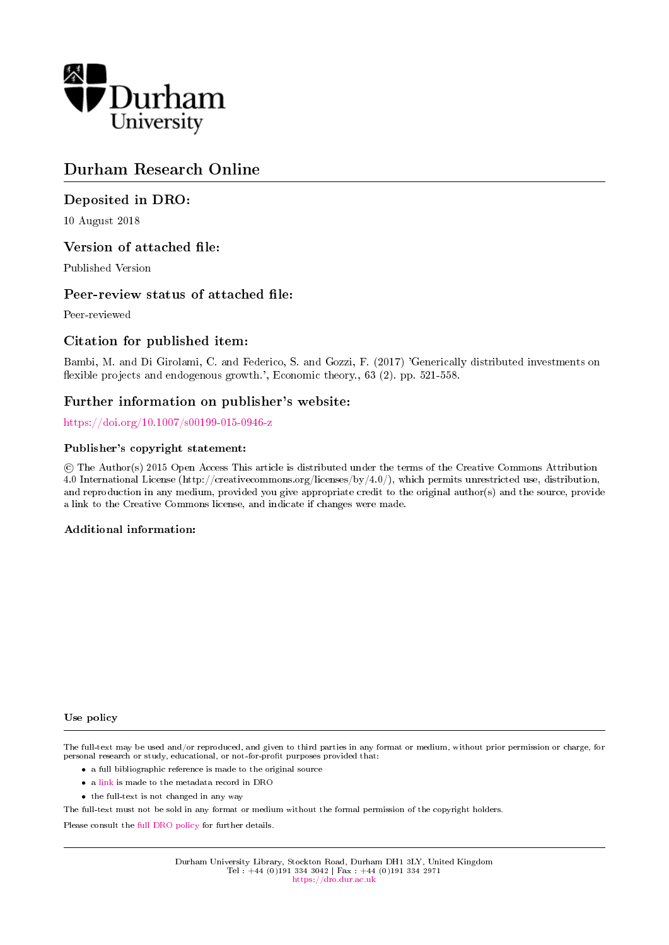

# Durham Research Online

## Deposited in DRO:

10 August 2018

## Version of attached file:

Published Version

## Peer-review status of attached file:

Peer-reviewed

## Citation for published item:

Bambi, M. and Di Girolami, C. and Federico, S. and Gozzi, F. (2017) 'Generically distributed investments on flexible projects and endogenous growth.', Economic theory., 63 (2). pp. 521-558.

## Further information on publisher's website:

<https://doi.org/10.1007/s00199-015-0946-z>

## Publisher's copyright statement:

 c The Author(s) 2015 Open Access This article is distributed under the terms of the Creative Commons Attribution 4.0 International License (http://creativecommons.org/licenses/by/4.0/), which permits unrestricted use, distribution, and reproduction in any medium, provided you give appropriate credit to the original author(s) and the source, provide a link to the Creative Commons license, and indicate if changes were made.

## Additional information:

## Use policy

The full-text may be used and/or reproduced, and given to third parties in any format or medium, without prior permission or charge, for personal research or study, educational, or not-for-profit purposes provided that:

- a full bibliographic reference is made to the original source
- a [link](http://dro.dur.ac.uk/25853/) is made to the metadata record in DRO
- the full-text is not changed in any way

The full-text must not be sold in any format or medium without the formal permission of the copyright holders.

Please consult the [full DRO policy](https://dro.dur.ac.uk/policies/usepolicy.pdf) for further details.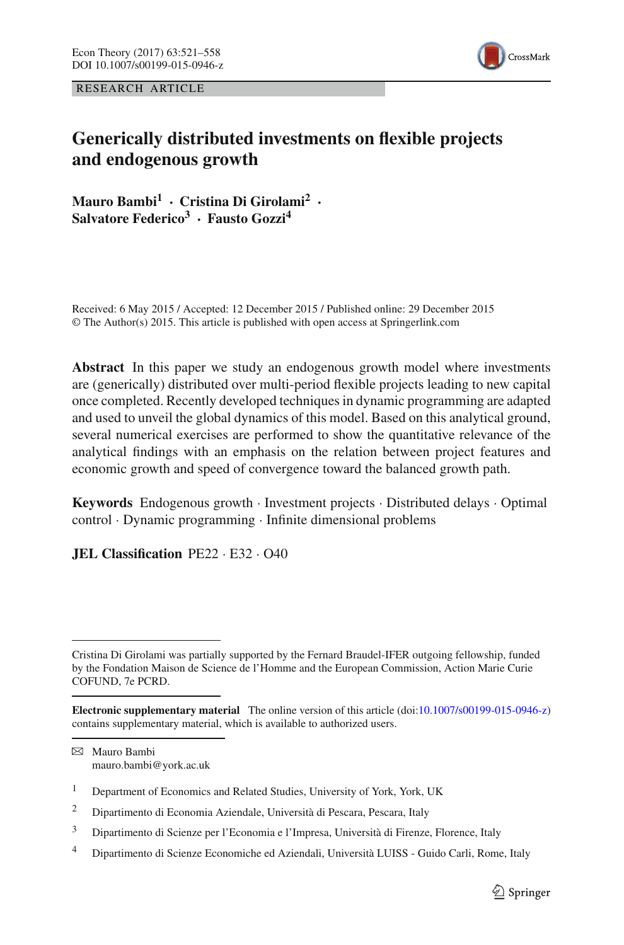

RESEARCH ARTICLE

# **Generically distributed investments on flexible projects and endogenous growth**

**Mauro Bambi<sup>1</sup> · Cristina Di Girolami<sup>2</sup> · Salvatore Federico3 · Fausto Gozzi<sup>4</sup>**

Received: 6 May 2015 / Accepted: 12 December 2015 / Published online: 29 December 2015 © The Author(s) 2015. This article is published with open access at Springerlink.com

**Abstract** In this paper we study an endogenous growth model where investments are (generically) distributed over multi-period flexible projects leading to new capital once completed. Recently developed techniques in dynamic programming are adapted and used to unveil the global dynamics of this model. Based on this analytical ground, several numerical exercises are performed to show the quantitative relevance of the analytical findings with an emphasis on the relation between project features and economic growth and speed of convergence toward the balanced growth path.

**Keywords** Endogenous growth · Investment projects · Distributed delays · Optimal control · Dynamic programming · Infinite dimensional problems

**JEL Classification** PE22 · E32 · O40

 $\boxtimes$  Mauro Bambi mauro.bambi@york.ac.uk

Cristina Di Girolami was partially supported by the Fernard Braudel-IFER outgoing fellowship, funded by the Fondation Maison de Science de l'Homme and the European Commission, Action Marie Curie COFUND, 7e PCRD.

**Electronic supplementary material** The online version of this article (doi[:10.1007/s00199-015-0946-z\)](http://dx.doi.org/10.1007/s00199-015-0946-z) contains supplementary material, which is available to authorized users.

<sup>&</sup>lt;sup>1</sup> Department of Economics and Related Studies, University of York, York, UK

<sup>2</sup> Dipartimento di Economia Aziendale, Università di Pescara, Pescara, Italy

<sup>3</sup> Dipartimento di Scienze per l'Economia e l'Impresa, Università di Firenze, Florence, Italy

<sup>4</sup> Dipartimento di Scienze Economiche ed Aziendali, Università LUISS - Guido Carli, Rome, Italy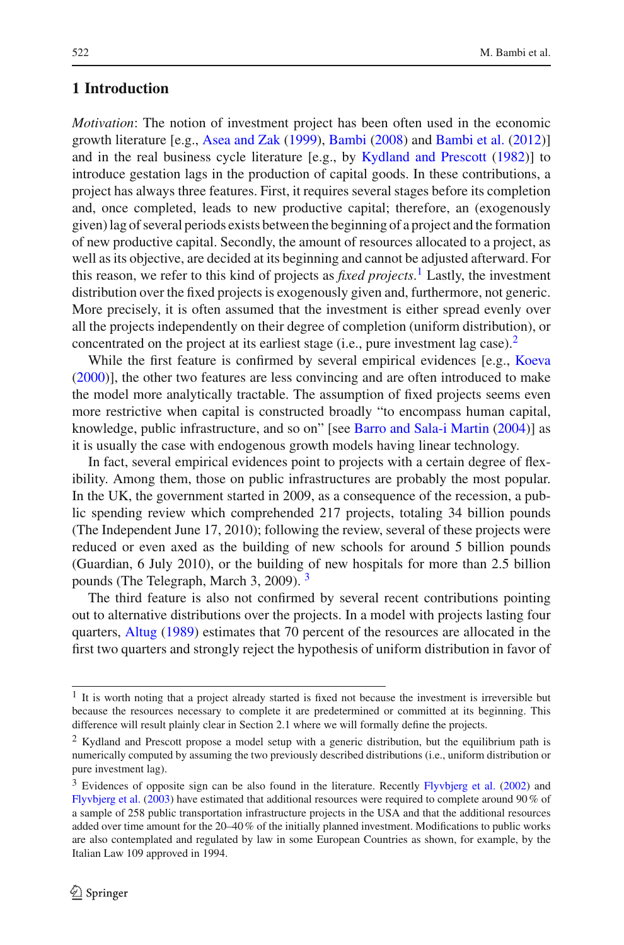## **1 Introduction**

*Motivation*: The notion of investment project has been often used in the economic growth literature [e.g., [Asea and Zak](#page-37-0) [\(1999](#page-37-0)), [Bambi](#page-37-1) [\(2008](#page-37-1)) and [Bambi et al.](#page-37-2) [\(2012](#page-37-2))] and in the real business cycle literature [e.g., by [Kydland and Prescott](#page-38-0) [\(1982\)](#page-38-0)] to introduce gestation lags in the production of capital goods. In these contributions, a project has always three features. First, it requires several stages before its completion and, once completed, leads to new productive capital; therefore, an (exogenously given) lag of several periods exists between the beginning of a project and the formation of new productive capital. Secondly, the amount of resources allocated to a project, as well as its objective, are decided at its beginning and cannot be adjusted afterward. For this reason, we refer to this kind of projects as *fixed projects*. [1](#page-2-0) Lastly, the investment distribution over the fixed projects is exogenously given and, furthermore, not generic. More precisely, it is often assumed that the investment is either spread evenly over all the projects independently on their degree of completion (uniform distribution), or concentrated on the project at its earliest stage (i.e., pure investment lag case).<sup>2</sup>

While the first feature is confirmed by several empirical evidences [e.g., [Koeva](#page-38-1)] [\(2000\)](#page-38-1)], the other two features are less convincing and are often introduced to make the model more analytically tractable. The assumption of fixed projects seems even more restrictive when capital is constructed broadly "to encompass human capital, knowledge, public infrastructure, and so on" [see [Barro and Sala-i Martin](#page-37-3) [\(2004\)](#page-37-3)] as it is usually the case with endogenous growth models having linear technology.

In fact, several empirical evidences point to projects with a certain degree of flexibility. Among them, those on public infrastructures are probably the most popular. In the UK, the government started in 2009, as a consequence of the recession, a public spending review which comprehended 217 projects, totaling 34 billion pounds (The Independent June 17, 2010); following the review, several of these projects were reduced or even axed as the building of new schools for around 5 billion pounds (Guardian, 6 July 2010), or the building of new hospitals for more than 2.5 billion pounds (The Telegraph, March [3](#page-2-2), 2009).<sup>3</sup>

The third feature is also not confirmed by several recent contributions pointing out to alternative distributions over the projects. In a model with projects lasting four quarters, [Altug](#page-37-4) [\(1989\)](#page-37-4) estimates that 70 percent of the resources are allocated in the first two quarters and strongly reject the hypothesis of uniform distribution in favor of

<span id="page-2-0"></span> $1$  It is worth noting that a project already started is fixed not because the investment is irreversible but because the resources necessary to complete it are predetermined or committed at its beginning. This difference will result plainly clear in Section 2.1 where we will formally define the projects.

<span id="page-2-1"></span><sup>2</sup> Kydland and Prescott propose a model setup with a generic distribution, but the equilibrium path is numerically computed by assuming the two previously described distributions (i.e., uniform distribution or pure investment lag).

<span id="page-2-2"></span> $3$  Evidences of opposite sign can be also found in the literature. Recently [Flyvbjerg et al.](#page-37-5) [\(2002\)](#page-37-5) and [Flyvbjerg et al.](#page-37-6) [\(2003\)](#page-37-6) have estimated that additional resources were required to complete around 90% of a sample of 258 public transportation infrastructure projects in the USA and that the additional resources added over time amount for the 20–40% of the initially planned investment. Modifications to public works are also contemplated and regulated by law in some European Countries as shown, for example, by the Italian Law 109 approved in 1994.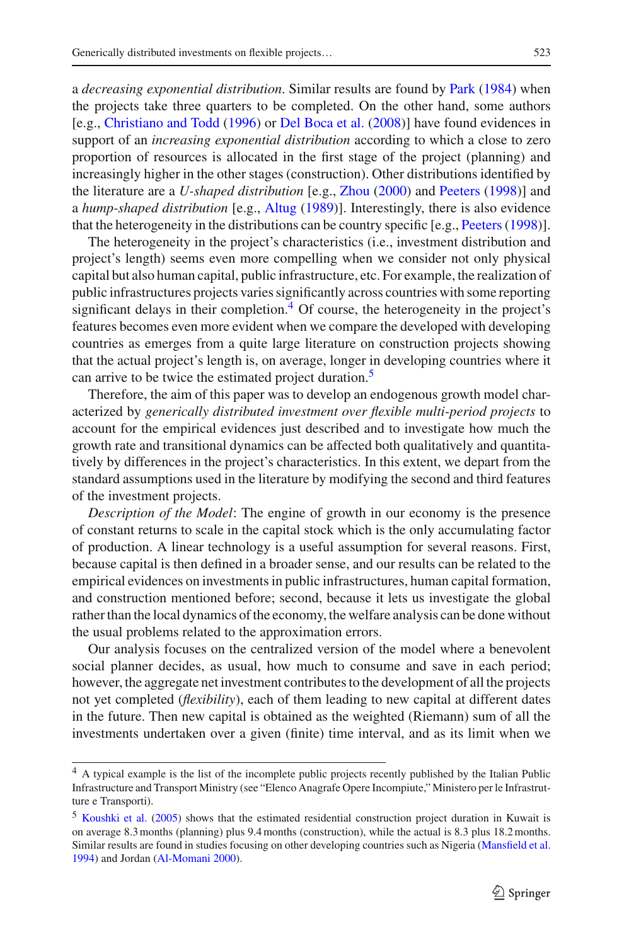a *decreasing exponential distribution*. Similar results are found by [Park](#page-38-2) [\(1984\)](#page-38-2) when the projects take three quarters to be completed. On the other hand, some authors [e.g., [Christiano and Todd](#page-37-7) [\(1996\)](#page-37-7) or [Del Boca et al.](#page-37-8) [\(2008\)](#page-37-8)] have found evidences in support of an *increasing exponential distribution* according to which a close to zero proportion of resources is allocated in the first stage of the project (planning) and increasingly higher in the other stages (construction). Other distributions identified by the literature are a *U-shaped distribution* [e.g., [Zhou](#page-38-3) [\(2000\)](#page-38-3) and [Peeters](#page-38-4) [\(1998](#page-38-4))] and a *hump-shaped distribution* [e.g., [Altug](#page-37-4) [\(1989](#page-37-4))]. Interestingly, there is also evidence that the heterogeneity in the distributions can be country specific [e.g., [Peeters\(1998\)](#page-38-4)].

The heterogeneity in the project's characteristics (i.e., investment distribution and project's length) seems even more compelling when we consider not only physical capital but also human capital, public infrastructure, etc. For example, the realization of public infrastructures projects varies significantly across countries with some reporting significant delays in their completion.<sup>[4](#page-3-0)</sup> Of course, the heterogeneity in the project's features becomes even more evident when we compare the developed with developing countries as emerges from a quite large literature on construction projects showing that the actual project's length is, on average, longer in developing countries where it can arrive to be twice the estimated project duration.<sup>5</sup>

Therefore, the aim of this paper was to develop an endogenous growth model characterized by *generically distributed investment over flexible multi-period projects* to account for the empirical evidences just described and to investigate how much the growth rate and transitional dynamics can be affected both qualitatively and quantitatively by differences in the project's characteristics. In this extent, we depart from the standard assumptions used in the literature by modifying the second and third features of the investment projects.

*Description of the Model*: The engine of growth in our economy is the presence of constant returns to scale in the capital stock which is the only accumulating factor of production. A linear technology is a useful assumption for several reasons. First, because capital is then defined in a broader sense, and our results can be related to the empirical evidences on investments in public infrastructures, human capital formation, and construction mentioned before; second, because it lets us investigate the global rather than the local dynamics of the economy, the welfare analysis can be done without the usual problems related to the approximation errors.

Our analysis focuses on the centralized version of the model where a benevolent social planner decides, as usual, how much to consume and save in each period; however, the aggregate net investment contributes to the development of all the projects not yet completed (*flexibility*), each of them leading to new capital at different dates in the future. Then new capital is obtained as the weighted (Riemann) sum of all the investments undertaken over a given (finite) time interval, and as its limit when we

<sup>2</sup> Springer

<span id="page-3-0"></span><sup>&</sup>lt;sup>4</sup> A typical example is the list of the incomplete public projects recently published by the Italian Public Infrastructure and Transport Ministry (see "Elenco Anagrafe Opere Incompiute," Ministero per le Infrastrutture e Transporti).

<span id="page-3-1"></span><sup>5</sup> [Koushki et al.](#page-38-5) [\(2005](#page-38-5)) shows that the estimated residential construction project duration in Kuwait is on average 8.3 months (planning) plus 9.4 months (construction), while the actual is 8.3 plus 18.2 months. Similar results are found in studies focusing on other developing countries such as Nigeria [\(Mansfield et al.](#page-38-6) [1994\)](#page-38-6) and Jordan [\(Al-Momani 2000](#page-37-9)).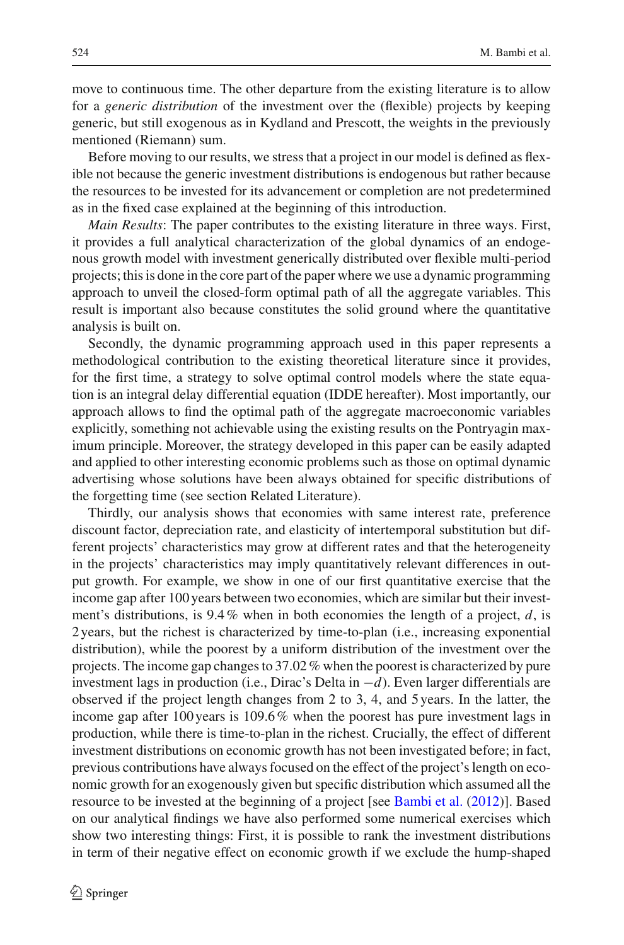move to continuous time. The other departure from the existing literature is to allow for a *generic distribution* of the investment over the (flexible) projects by keeping generic, but still exogenous as in Kydland and Prescott, the weights in the previously mentioned (Riemann) sum.

Before moving to our results, we stress that a project in our model is defined as flexible not because the generic investment distributions is endogenous but rather because the resources to be invested for its advancement or completion are not predetermined as in the fixed case explained at the beginning of this introduction.

*Main Results*: The paper contributes to the existing literature in three ways. First, it provides a full analytical characterization of the global dynamics of an endogenous growth model with investment generically distributed over flexible multi-period projects; this is done in the core part of the paper where we use a dynamic programming approach to unveil the closed-form optimal path of all the aggregate variables. This result is important also because constitutes the solid ground where the quantitative analysis is built on.

Secondly, the dynamic programming approach used in this paper represents a methodological contribution to the existing theoretical literature since it provides, for the first time, a strategy to solve optimal control models where the state equation is an integral delay differential equation (IDDE hereafter). Most importantly, our approach allows to find the optimal path of the aggregate macroeconomic variables explicitly, something not achievable using the existing results on the Pontryagin maximum principle. Moreover, the strategy developed in this paper can be easily adapted and applied to other interesting economic problems such as those on optimal dynamic advertising whose solutions have been always obtained for specific distributions of the forgetting time (see section Related Literature).

Thirdly, our analysis shows that economies with same interest rate, preference discount factor, depreciation rate, and elasticity of intertemporal substitution but different projects' characteristics may grow at different rates and that the heterogeneity in the projects' characteristics may imply quantitatively relevant differences in output growth. For example, we show in one of our first quantitative exercise that the income gap after 100 years between two economies, which are similar but their investment's distributions, is 9.4% when in both economies the length of a project, *d*, is 2 years, but the richest is characterized by time-to-plan (i.e., increasing exponential distribution), while the poorest by a uniform distribution of the investment over the projects. The income gap changes to 37.02% when the poorest is characterized by pure investment lags in production (i.e., Dirac's Delta in −*d*). Even larger differentials are observed if the project length changes from 2 to 3, 4, and 5 years. In the latter, the income gap after 100 years is 109.6% when the poorest has pure investment lags in production, while there is time-to-plan in the richest. Crucially, the effect of different investment distributions on economic growth has not been investigated before; in fact, previous contributions have always focused on the effect of the project's length on economic growth for an exogenously given but specific distribution which assumed all the resource to be invested at the beginning of a project [see [Bambi et al.](#page-37-2) [\(2012](#page-37-2))]. Based on our analytical findings we have also performed some numerical exercises which show two interesting things: First, it is possible to rank the investment distributions in term of their negative effect on economic growth if we exclude the hump-shaped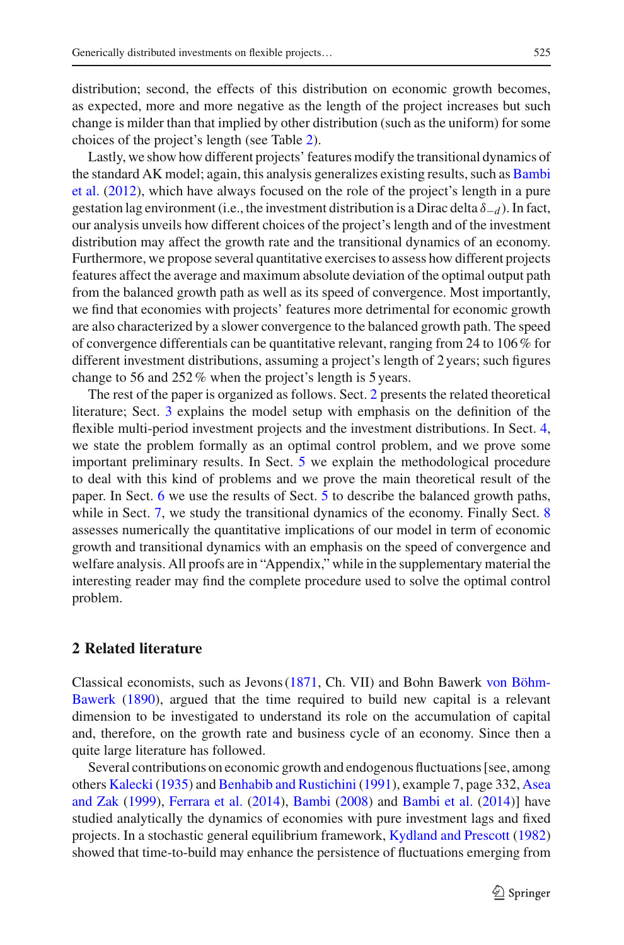distribution; second, the effects of this distribution on economic growth becomes, as expected, more and more negative as the length of the project increases but such change is milder than that implied by other distribution (such as the uniform) for some choices of the project's length (see Table [2\)](#page-28-0).

Lastly, we show how different projects' features modify the transitional dynamics of the s[tandard](#page-37-2) [AK](#page-37-2) [model;](#page-37-2) [again,](#page-37-2) [this](#page-37-2) [analysis](#page-37-2) [generalizes](#page-37-2) [existing](#page-37-2) [results,](#page-37-2) [such](#page-37-2) [as](#page-37-2) Bambi et al. [\(2012](#page-37-2)), which have always focused on the role of the project's length in a pure gestation lag environment (i.e., the investment distribution is a Dirac delta  $\delta_{-d}$ ). In fact, our analysis unveils how different choices of the project's length and of the investment distribution may affect the growth rate and the transitional dynamics of an economy. Furthermore, we propose several quantitative exercises to assess how different projects features affect the average and maximum absolute deviation of the optimal output path from the balanced growth path as well as its speed of convergence. Most importantly, we find that economies with projects' features more detrimental for economic growth are also characterized by a slower convergence to the balanced growth path. The speed of convergence differentials can be quantitative relevant, ranging from 24 to 106  $\%$  for different investment distributions, assuming a project's length of 2 years; such figures change to 56 and 252% when the project's length is 5 years.

The rest of the paper is organized as follows. Sect. [2](#page-5-0) presents the related theoretical literature; Sect. [3](#page-7-0) explains the model setup with emphasis on the definition of the flexible multi-period investment projects and the investment distributions. In Sect. [4,](#page-9-0) we state the problem formally as an optimal control problem, and we prove some important preliminary results. In Sect. [5](#page-16-0) we explain the methodological procedure to deal with this kind of problems and we prove the main theoretical result of the paper. In Sect. [6](#page-20-0) we use the results of Sect. [5](#page-16-0) to describe the balanced growth paths, while in Sect. [7,](#page-22-0) we study the transitional dynamics of the economy. Finally Sect. [8](#page-25-0) assesses numerically the quantitative implications of our model in term of economic growth and transitional dynamics with an emphasis on the speed of convergence and welfare analysis. All proofs are in "Appendix," while in the supplementary material the interesting reader may find the complete procedure used to solve the optimal control problem.

## <span id="page-5-0"></span>**2 Related literature**

Classic[al](#page-38-8) [economists,](#page-38-8) [such](#page-38-8) [as](#page-38-8) [Jevons](#page-38-8) [\(1871](#page-38-7)[,](#page-38-8) [Ch.](#page-38-8) [VII\)](#page-38-8) [and](#page-38-8) [Bohn](#page-38-8) [Bawerk](#page-38-8) von Böhm-Bawerk [\(1890](#page-38-8)), argued that the time required to build new capital is a relevant dimension to be investigated to understand its role on the accumulation of capital and, therefore, on the growth rate and business cycle of an economy. Since then a quite large literature has followed.

Several contributions on economic growth and endogenous fluctuations [see, among others [Kalecki](#page-38-9) [\(1935\)](#page-38-9) and [Benhabib and Rustichini](#page-37-10) [\(1991](#page-37-10)[\),](#page-37-0) [example](#page-37-0) [7,](#page-37-0) [page](#page-37-0) [332,](#page-37-0) Asea and Zak [\(1999](#page-37-0)), [Ferrara et al.](#page-37-11) [\(2014\)](#page-37-11), [Bambi](#page-37-1) [\(2008\)](#page-37-1) and [Bambi et al.](#page-37-12) [\(2014\)](#page-37-12)] have studied analytically the dynamics of economies with pure investment lags and fixed projects. In a stochastic general equilibrium framework, [Kydland and Prescott](#page-38-0) [\(1982\)](#page-38-0) showed that time-to-build may enhance the persistence of fluctuations emerging from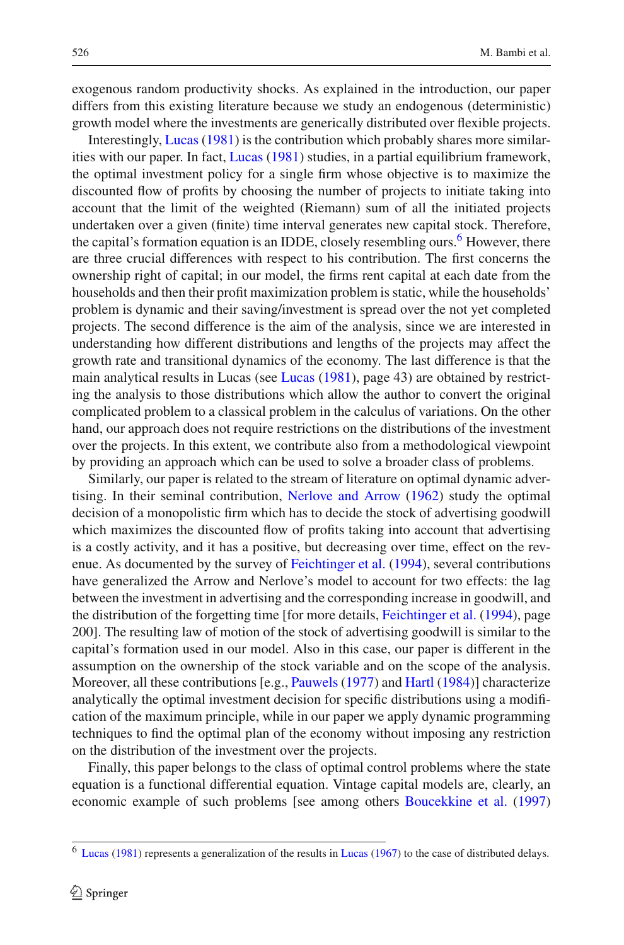exogenous random productivity shocks. As explained in the introduction, our paper differs from this existing literature because we study an endogenous (deterministic) growth model where the investments are generically distributed over flexible projects.

Interestingly, [Lucas](#page-38-10) [\(1981](#page-38-10)) is the contribution which probably shares more similarities with our paper. In fact, [Lucas](#page-38-10) [\(1981\)](#page-38-10) studies, in a partial equilibrium framework, the optimal investment policy for a single firm whose objective is to maximize the discounted flow of profits by choosing the number of projects to initiate taking into account that the limit of the weighted (Riemann) sum of all the initiated projects undertaken over a given (finite) time interval generates new capital stock. Therefore, the capital's formation equation is an IDDE, closely resembling ours.<sup>6</sup> However, there are three crucial differences with respect to his contribution. The first concerns the ownership right of capital; in our model, the firms rent capital at each date from the households and then their profit maximization problem is static, while the households' problem is dynamic and their saving/investment is spread over the not yet completed projects. The second difference is the aim of the analysis, since we are interested in understanding how different distributions and lengths of the projects may affect the growth rate and transitional dynamics of the economy. The last difference is that the main analytical results in Lucas (see [Lucas](#page-38-10) [\(1981\)](#page-38-10), page 43) are obtained by restricting the analysis to those distributions which allow the author to convert the original complicated problem to a classical problem in the calculus of variations. On the other hand, our approach does not require restrictions on the distributions of the investment over the projects. In this extent, we contribute also from a methodological viewpoint by providing an approach which can be used to solve a broader class of problems.

Similarly, our paper is related to the stream of literature on optimal dynamic advertising. In their seminal contribution, [Nerlove and Arrow](#page-38-11) [\(1962](#page-38-11)) study the optimal decision of a monopolistic firm which has to decide the stock of advertising goodwill which maximizes the discounted flow of profits taking into account that advertising is a costly activity, and it has a positive, but decreasing over time, effect on the revenue. As documented by the survey of [Feichtinger et al.](#page-37-13) [\(1994](#page-37-13)), several contributions have generalized the Arrow and Nerlove's model to account for two effects: the lag between the investment in advertising and the corresponding increase in goodwill, and the distribution of the forgetting time [for more details, [Feichtinger et al.](#page-37-13) [\(1994](#page-37-13)), page 200]. The resulting law of motion of the stock of advertising goodwill is similar to the capital's formation used in our model. Also in this case, our paper is different in the assumption on the ownership of the stock variable and on the scope of the analysis. Moreover, all these contributions [e.g., [Pauwels](#page-38-12) [\(1977\)](#page-38-12) and [Hartl](#page-37-14) [\(1984](#page-37-14))] characterize analytically the optimal investment decision for specific distributions using a modification of the maximum principle, while in our paper we apply dynamic programming techniques to find the optimal plan of the economy without imposing any restriction on the distribution of the investment over the projects.

Finally, this paper belongs to the class of optimal control problems where the state equation is a functional differential equation. Vintage capital models are, clearly, an economic example of such problems [see among others [Boucekkine et al.](#page-37-15) [\(1997\)](#page-37-15)

<span id="page-6-0"></span> $6$  [Lucas](#page-38-13) [\(1981](#page-38-10)) represents a generalization of the results in Lucas [\(1967\)](#page-38-13) to the case of distributed delays.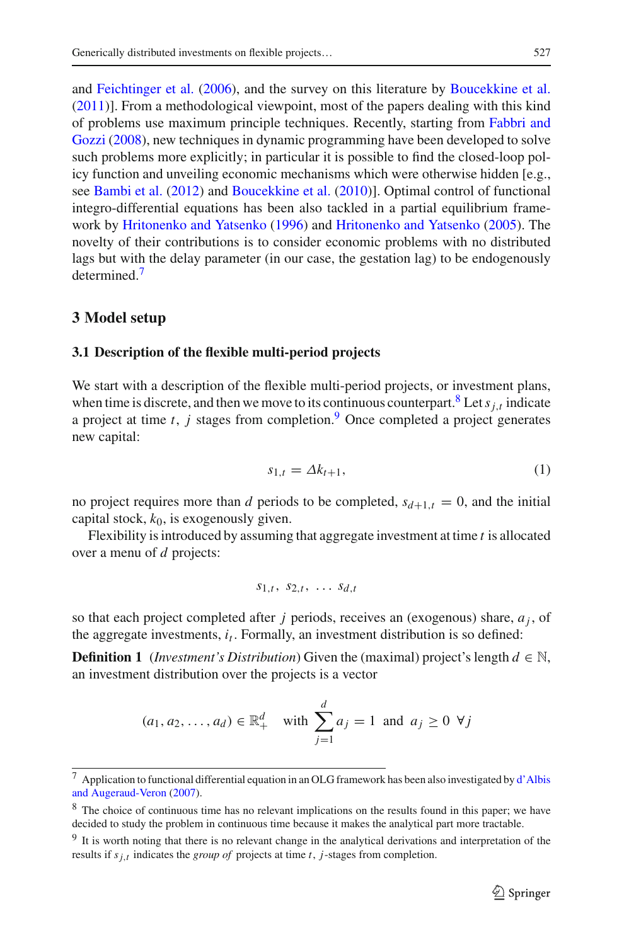and [Feichtinger et al.](#page-37-16) [\(2006](#page-37-16)), and the survey on this literature by [Boucekkine et al.](#page-37-17) [\(2011\)](#page-37-17)]. From a methodological viewpoint, most of the papers dealing with this kind of pr[oblems](#page-37-18) [use](#page-37-18) [maximum](#page-37-18) [principle](#page-37-18) [techniques.](#page-37-18) [Recently,](#page-37-18) [starting](#page-37-18) [from](#page-37-18) Fabbri and Gozzi [\(2008\)](#page-37-18), new techniques in dynamic programming have been developed to solve such problems more explicitly; in particular it is possible to find the closed-loop policy function and unveiling economic mechanisms which were otherwise hidden [e.g., see [Bambi et al.](#page-37-2) [\(2012\)](#page-37-2) and [Boucekkine et al.](#page-37-19) [\(2010\)](#page-37-19)]. Optimal control of functional integro-differential equations has been also tackled in a partial equilibrium framework by [Hritonenko and Yatsenko](#page-38-14) [\(1996\)](#page-38-14) and [Hritonenko and Yatsenko](#page-38-15) [\(2005](#page-38-15)). The novelty of their contributions is to consider economic problems with no distributed lags but with the delay parameter (in our case, the gestation lag) to be endogenously determined.<sup>[7](#page-7-1)</sup>

## <span id="page-7-0"></span>**3 Model setup**

## **3.1 Description of the flexible multi-period projects**

We start with a description of the flexible multi-period projects, or investment plans, when time is discrete, and then we move to its continuous counterpart.  $8$  Let  $s_{i,t}$  indicate a project at time *t*, *j* stages from completion.[9](#page-7-3) Once completed a project generates new capital:

$$
s_{1,t} = \Delta k_{t+1},\tag{1}
$$

<span id="page-7-5"></span>no project requires more than *d* periods to be completed,  $s_{d+1,t} = 0$ , and the initial capital stock,  $k_0$ , is exogenously given.

Flexibility is introduced by assuming that aggregate investment at time *t* is allocated over a menu of *d* projects:

$$
s_{1,t}, s_{2,t}, \ldots s_{d,t}
$$

<span id="page-7-4"></span>so that each project completed after *j* periods, receives an (exogenous) share, *a <sup>j</sup>* , of the aggregate investments,  $i_t$ . Formally, an investment distribution is so defined:

**Definition 1** (*Investment's Distribution*) Given the (maximal) project's length  $d \in \mathbb{N}$ , an investment distribution over the projects is a vector

$$
(a_1, a_2,..., a_d) \in \mathbb{R}^d_+
$$
 with  $\sum_{j=1}^d a_j = 1$  and  $a_j \ge 0 \ \forall j$ 

<span id="page-7-1"></span><sup>7</sup> Application to fun[ctional](#page-37-20) [differential](#page-37-20) [equation](#page-37-20) [in](#page-37-20) [an](#page-37-20) [OLG](#page-37-20) [framework](#page-37-20) [has](#page-37-20) [been](#page-37-20) [also](#page-37-20) [investigated](#page-37-20) [by](#page-37-20) d'Albis and Augeraud-Veron [\(2007\)](#page-37-20).

<span id="page-7-2"></span><sup>&</sup>lt;sup>8</sup> The choice of continuous time has no relevant implications on the results found in this paper; we have decided to study the problem in continuous time because it makes the analytical part more tractable.

<span id="page-7-3"></span><sup>&</sup>lt;sup>9</sup> It is worth noting that there is no relevant change in the analytical derivations and interpretation of the results if *sj*,*t* indicates the *group of* projects at time *t*, *j*-stages from completion.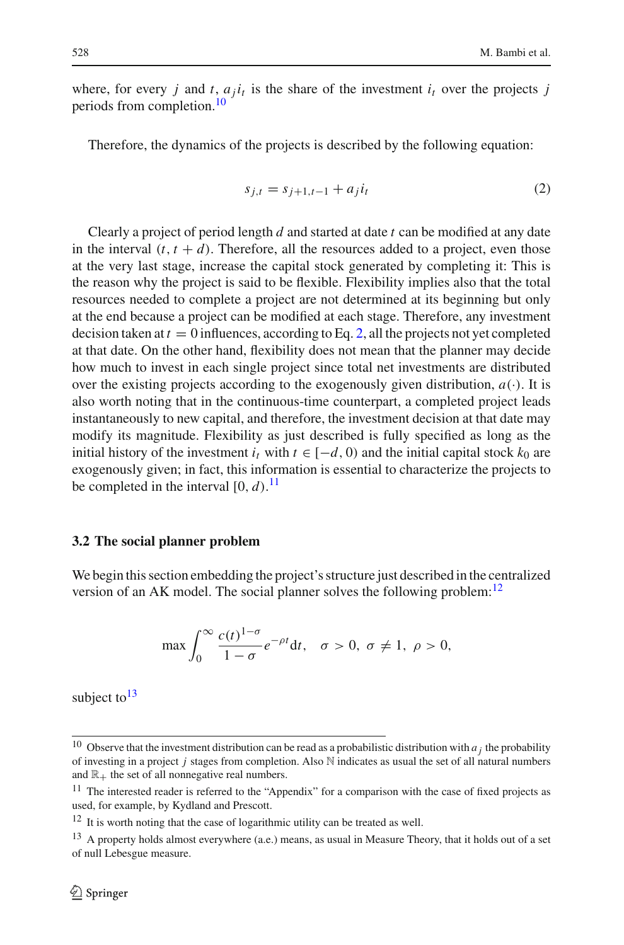where, for every *j* and *t*,  $a_i i_t$  is the share of the investment  $i_t$  over the projects *j* periods from completion.<sup>[10](#page-8-0)</sup>

<span id="page-8-1"></span>Therefore, the dynamics of the projects is described by the following equation:

$$
s_{j,t} = s_{j+1,t-1} + a_j i_t \tag{2}
$$

Clearly a project of period length *d* and started at date *t* can be modified at any date in the interval  $(t, t + d)$ . Therefore, all the resources added to a project, even those at the very last stage, increase the capital stock generated by completing it: This is the reason why the project is said to be flexible. Flexibility implies also that the total resources needed to complete a project are not determined at its beginning but only at the end because a project can be modified at each stage. Therefore, any investment decision taken at  $t = 0$  influences, according to Eq. [2,](#page-8-1) all the projects not yet completed at that date. On the other hand, flexibility does not mean that the planner may decide how much to invest in each single project since total net investments are distributed over the existing projects according to the exogenously given distribution,  $a(\cdot)$ . It is also worth noting that in the continuous-time counterpart, a completed project leads instantaneously to new capital, and therefore, the investment decision at that date may modify its magnitude. Flexibility as just described is fully specified as long as the initial history of the investment  $i_t$  with  $t \in [-d, 0)$  and the initial capital stock  $k_0$  are exogenously given; in fact, this information is essential to characterize the projects to be completed in the interval  $[0, d)$ .<sup>[11](#page-8-2)</sup>

#### **3.2 The social planner problem**

We begin this section embedding the project's structure just described in the centralized version of an AK model. The social planner solves the following problem: $^{12}$  $^{12}$  $^{12}$ 

$$
\max \int_0^\infty \frac{c(t)^{1-\sigma}}{1-\sigma} e^{-\rho t} \mathrm{d}t, \quad \sigma > 0, \ \sigma \neq 1, \ \rho > 0,
$$

subject to $13$ 

<span id="page-8-0"></span><sup>&</sup>lt;sup>10</sup> Observe that the investment distribution can be read as a probabilistic distribution with  $a_j$  the probability of investing in a project *j* stages from completion. Also N indicates as usual the set of all natural numbers and  $\mathbb{R}_+$  the set of all nonnegative real numbers.

<span id="page-8-2"></span><sup>&</sup>lt;sup>11</sup> The interested reader is referred to the "Appendix" for a comparison with the case of fixed projects as used, for example, by Kydland and Prescott.

<sup>&</sup>lt;sup>12</sup> It is worth noting that the case of logarithmic utility can be treated as well.

<span id="page-8-4"></span><span id="page-8-3"></span> $13$  A property holds almost everywhere (a.e.) means, as usual in Measure Theory, that it holds out of a set of null Lebesgue measure.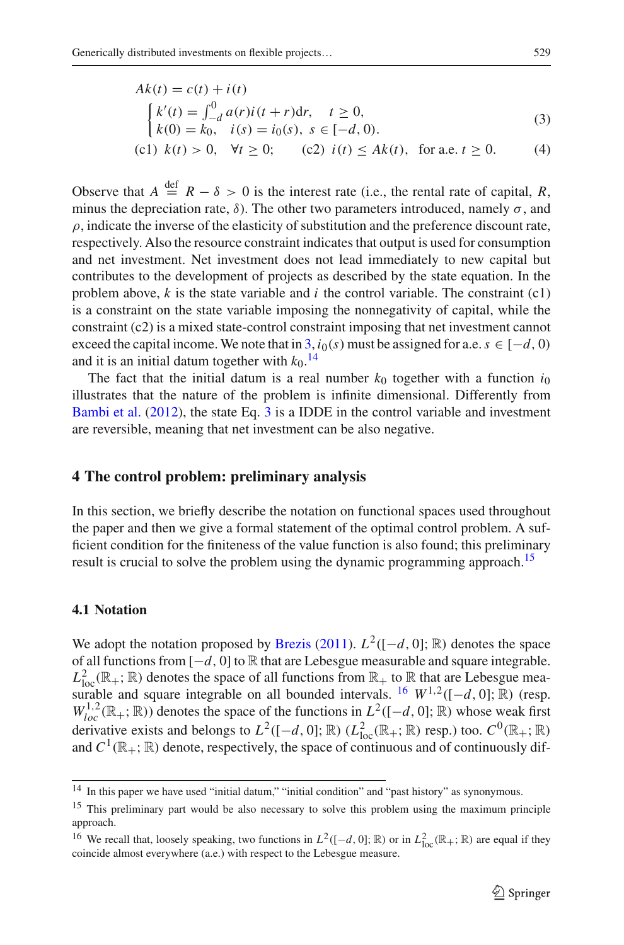$$
Ak(t) = c(t) + i(t)
$$
  
\n
$$
\begin{cases}\nk'(t) = \int_{-d}^{0} a(r)i(t+r)dr, & t \ge 0, \\
k(0) = k_0, & i(s) = i_0(s), \ s \in [-d, 0).\n\end{cases}
$$
\n(3)

<span id="page-9-1"></span>(c1) 
$$
k(t) > 0
$$
,  $\forall t \ge 0$ ; (c2)  $i(t) \le Ak(t)$ , for a.e.  $t \ge 0$ . (4)

Observe that  $A \stackrel{\text{def}}{=} R - \delta > 0$  is the interest rate (i.e., the rental rate of capital, *R*, minus the depreciation rate,  $\delta$ ). The other two parameters introduced, namely  $\sigma$ , and  $\rho$ , indicate the inverse of the elasticity of substitution and the preference discount rate, respectively. Also the resource constraint indicates that output is used for consumption and net investment. Net investment does not lead immediately to new capital but contributes to the development of projects as described by the state equation. In the problem above,  $k$  is the state variable and  $i$  the control variable. The constraint  $(c1)$ is a constraint on the state variable imposing the nonnegativity of capital, while the constraint (c2) is a mixed state-control constraint imposing that net investment cannot exceed the capital income. We note that in  $3$ ,  $i_0(s)$  must be assigned for a.e.  $s \in [-d, 0)$ and it is an initial datum together with  $k_0$ .<sup>[14](#page-9-2)</sup>

The fact that the initial datum is a real number  $k_0$  together with a function  $i_0$ illustrates that the nature of the problem is infinite dimensional. Differently from [Bambi et al.](#page-37-2) [\(2012\)](#page-37-2), the state Eq. [3](#page-9-1) is a IDDE in the control variable and investment are reversible, meaning that net investment can be also negative.

## <span id="page-9-0"></span>**4 The control problem: preliminary analysis**

In this section, we briefly describe the notation on functional spaces used throughout the paper and then we give a formal statement of the optimal control problem. A sufficient condition for the finiteness of the value function is also found; this preliminary result is crucial to solve the problem using the dynamic programming approach.<sup>15</sup>

## **4.1 Notation**

We adopt the notation proposed by [Brezis](#page-37-21) [\(2011](#page-37-21)).  $L^2([-d, 0]; \mathbb{R})$  denotes the space of all functions from [−*d*, <sup>0</sup>] to <sup>R</sup> that are Lebesgue measurable and square integrable.  $L^2_{\text{loc}}(\mathbb{R}_+;\mathbb{R})$  denotes the space of all functions from  $\mathbb{R}_+$  to  $\mathbb{R}$  that are Lebesgue mea-surable and square integrable on all bounded intervals. <sup>[16](#page-9-4)</sup>  $W^{1,2}([-d, 0]; \mathbb{R})$  (resp.  $W_{loc}^{1,2}(\mathbb{R}_+;\mathbb{R})$  denotes the space of the functions in  $L^2([-d, 0]; \mathbb{R})$  whose weak first derivative exists and belongs to  $L^2([-d, 0]; \mathbb{R})$  ( $L^2_{loc}(\mathbb{R}_+; \mathbb{R})$  resp.) too.  $C^0(\mathbb{R}_+; \mathbb{R})$ and  $C^1(\mathbb{R}_+;\mathbb{R})$  denote, respectively, the space of continuous and of continuously dif-

<sup>&</sup>lt;sup>14</sup> In this paper we have used "initial datum," "initial condition" and "past history" as synonymous.

<span id="page-9-3"></span><span id="page-9-2"></span><sup>&</sup>lt;sup>15</sup> This preliminary part would be also necessary to solve this problem using the maximum principle approach.

<span id="page-9-4"></span><sup>&</sup>lt;sup>16</sup> We recall that, loosely speaking, two functions in  $L^2([-d, 0]; \mathbb{R})$  or in  $L^2_{loc}(\mathbb{R}_+; \mathbb{R})$  are equal if they coincide almost everywhere (a.e.) with respect to the Lebesgue measure.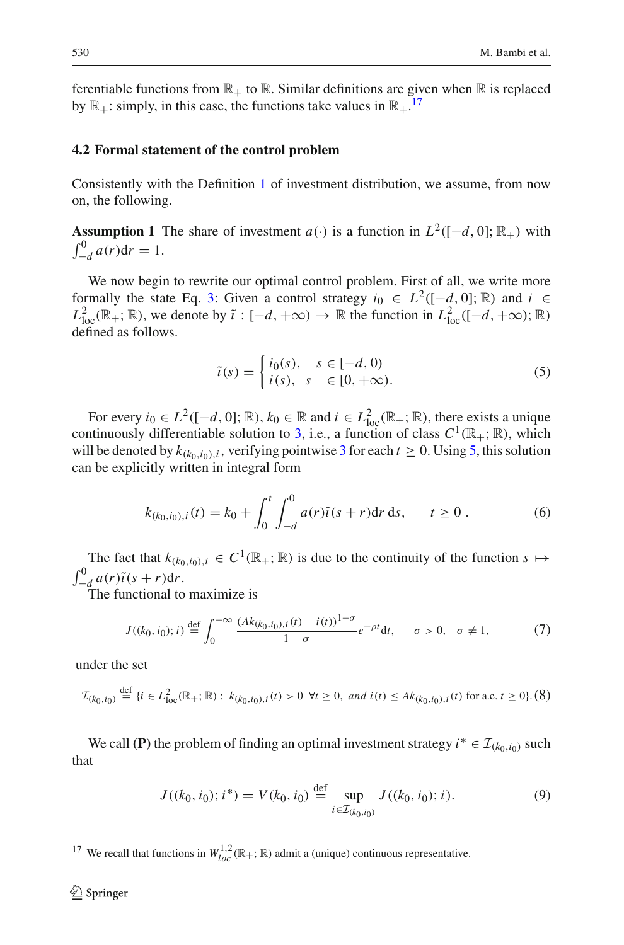ferentiable functions from  $\mathbb{R}_+$  to  $\mathbb{R}$ . Similar definitions are given when  $\mathbb{R}$  is replaced by  $\mathbb{R}_+$ : simply, in this case, the functions take values in  $\mathbb{R}_+$ .<sup>[17](#page-10-0)</sup>

#### **4.2 Formal statement of the control problem**

<span id="page-10-3"></span>Consistently with the Definition [1](#page-7-4) of investment distribution, we assume, from now on, the following.

**Assumption 1** The share of investment *a*(·) is a function in  $L^2([-d, 0]; \mathbb{R}_+)$  with  $\int_{-d}^{0} a(r) dr = 1.$ 

We now begin to rewrite our optimal control problem. First of all, we write more formally the state Eq. [3:](#page-9-1) Given a control strategy  $i_0 \in L^2([-d, 0]; \mathbb{R})$  and  $i \in$  $L^2_{\text{loc}}(\mathbb{R}_+;\mathbb{R})$ , we denote by  $\tilde{i} : [-d, +\infty) \to \mathbb{R}$  the function in  $L^2_{\text{loc}}([-d, +\infty); \mathbb{R})$ defined as follows.

$$
\tilde{t}(s) = \begin{cases} i_0(s), & s \in [-d, 0) \\ i(s), & s \in [0, +\infty). \end{cases}
$$
\n(5)

<span id="page-10-1"></span>For every  $i_0 \in L^2([-d, 0]; \mathbb{R})$ ,  $k_0 \in \mathbb{R}$  and  $i \in L^2_{loc}(\mathbb{R}_+; \mathbb{R})$ , there exists a unique continuously differentiable solution to [3,](#page-9-1) i.e., a function of class  $C^1(\mathbb{R}_+;\mathbb{R})$ , which will be denoted by  $k_{(k_0,i_0),i}$ , verifying pointwise [3](#page-9-1) for each  $t \ge 0$ . Using [5,](#page-10-1) this solution can be explicitly written in integral form

$$
k_{(k_0, i_0), i}(t) = k_0 + \int_0^t \int_{-d}^0 a(r)\tilde{\imath}(s+r)dr ds, \qquad t \ge 0.
$$
 (6)

<span id="page-10-2"></span>The fact that  $k_{(k_0,i_0),i} \in C^1(\mathbb{R}_+;\mathbb{R})$  is due to the continuity of the function  $s \mapsto$  $\int_{-d}^{0} a(r)\tilde{i}(s+r)dr.$ 

The functional to maximize is

$$
J((k_0, i_0); i) \stackrel{\text{def}}{=} \int_0^{+\infty} \frac{(Ak_{(k_0, i_0), i}(t) - i(t))^{1-\sigma}}{1 - \sigma} e^{-\rho t} dt, \quad \sigma > 0, \quad \sigma \neq 1,
$$
 (7)

under the set

$$
\mathcal{I}_{(k_0,i_0)} \stackrel{\text{def}}{=} \{i \in L^2_{\text{loc}}(\mathbb{R}_+;\mathbb{R}) : k_{(k_0,i_0),i}(t) > 0 \ \forall t \ge 0, \ and \ i(t) \le Ak_{(k_0,i_0),i}(t) \text{ for a.e. } t \ge 0\}.
$$

We call **(P)** the problem of finding an optimal investment strategy  $i^* \in \mathcal{I}_{(k_0,i_0)}$  such that

$$
J((k_0, i_0); i^*) = V(k_0, i_0) \stackrel{\text{def}}{=} \sup_{i \in \mathcal{I}_{(k_0, i_0)}} J((k_0, i_0); i).
$$
 (9)

<span id="page-10-0"></span><sup>&</sup>lt;sup>17</sup> We recall that functions in  $W_{loc}^{1,2}(\mathbb{R}_+;\mathbb{R})$  admit a (unique) continuous representative.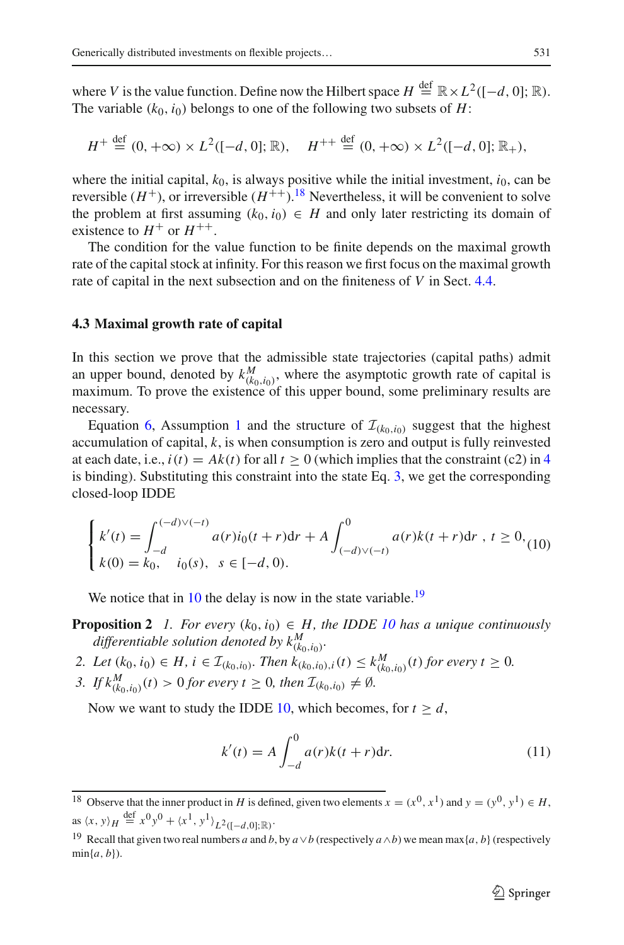where *V* is the value function. Define now the Hilbert space  $H \stackrel{\text{def}}{=} \mathbb{R} \times L^2([-d, 0]; \mathbb{R})$ . The variable  $(k_0, i_0)$  belongs to one of the following two subsets of *H*:

$$
H^{+} \stackrel{\text{def}}{=} (0, +\infty) \times L^{2}([-d, 0]; \mathbb{R}), \quad H^{++} \stackrel{\text{def}}{=} (0, +\infty) \times L^{2}([-d, 0]; \mathbb{R}_{+}),
$$

where the initial capital,  $k_0$ , is always positive while the initial investment,  $i_0$ , can be reversible  $(H^+)$ , or irreversible  $(H^{++})$ .<sup>[18](#page-11-0)</sup> Nevertheless, it will be convenient to solve the problem at first assuming  $(k_0, i_0) \in H$  and only later restricting its domain of existence to  $H^+$  or  $H^{++}$ .

The condition for the value function to be finite depends on the maximal growth rate of the capital stock at infinity. For this reason we first focus on the maximal growth rate of capital in the next subsection and on the finiteness of *V* in Sect. [4.4.](#page-15-0)

#### <span id="page-11-4"></span>**4.3 Maximal growth rate of capital**

In this section we prove that the admissible state trajectories (capital paths) admit an upper bound, denoted by  $k_{(k_0,i_0)}^M$ , where the asymptotic growth rate of capital is maximum. To prove the existence of this upper bound, some preliminary results are necessary.

Equation [6,](#page-10-2) Assumption [1](#page-10-3) and the structure of  $\mathcal{I}_{(k_0,i_0)}$  suggest that the highest accumulation of capital, *k*, is when consumption is zero and output is fully reinvested at each date, i.e.,  $i(t) = Ak(t)$  for all  $t \ge 0$  (which implies that the constraint (c2) in [4](#page-9-1) is binding). Substituting this constraint into the state Eq.  $3$ , we get the corresponding closed-loop IDDE

<span id="page-11-1"></span>
$$
\begin{cases}\nk'(t) = \int_{-d}^{(-d)\vee(-t)} a(r)i_0(t+r)dr + A \int_{(-d)\vee(-t)}^0 a(r)k(t+r)dr, \ t \ge 0, \\
k(0) = k_0, \quad i_0(s), \ s \in [-d, 0).\n\end{cases}
$$

We notice that in  $10$  the delay is now in the state variable.<sup>19</sup>

<span id="page-11-5"></span>**Proposition 2** *1. For every*  $(k_0, i_0) \in H$ , the IDDE [10](#page-11-1) has a unique continuously differentiable solution denoted by  $k_{(k_0,i_0)}^M$ .

*2. Let*  $(k_0, i_0) \in H$ ,  $i \in I_{(k_0, i_0)}$ . Then  $k_{(k_0, i_0), i}(t) \leq k_{(k_0, i_0)}^M(t)$  for every  $t ≥ 0$ .

3. If  $k_{(k_0,i_0)}^M(t) > 0$  for every  $t \geq 0$ , then  $\mathcal{I}_{(k_0,i_0)} \neq \emptyset$ .

<span id="page-11-3"></span>Now we want to study the IDDE [10,](#page-11-1) which becomes, for  $t \geq d$ ,

$$
k'(t) = A \int_{-d}^{0} a(r)k(t+r)dr.
$$
 (11)

<span id="page-11-0"></span><sup>&</sup>lt;sup>18</sup> Observe that the inner product in *H* is defined, given two elements  $x = (x^0, x^1)$  and  $y = (y^0, y^1) \in H$ ,  $\int \frac{\text{d}\mathbf{f}}{dt}$   $\langle x, y \rangle_H \stackrel{\text{def}}{=} x^0 y^0 + \langle x^1, y^1 \rangle_{L^2([-d, 0]; \mathbb{R})}.$ 

<span id="page-11-2"></span><sup>&</sup>lt;sup>19</sup> Recall that given two real numbers *a* and *b*, by  $a \vee b$  (respectively  $a \wedge b$ ) we mean max{*a*, *b*} (respectively  $min\{a, b\}$ ).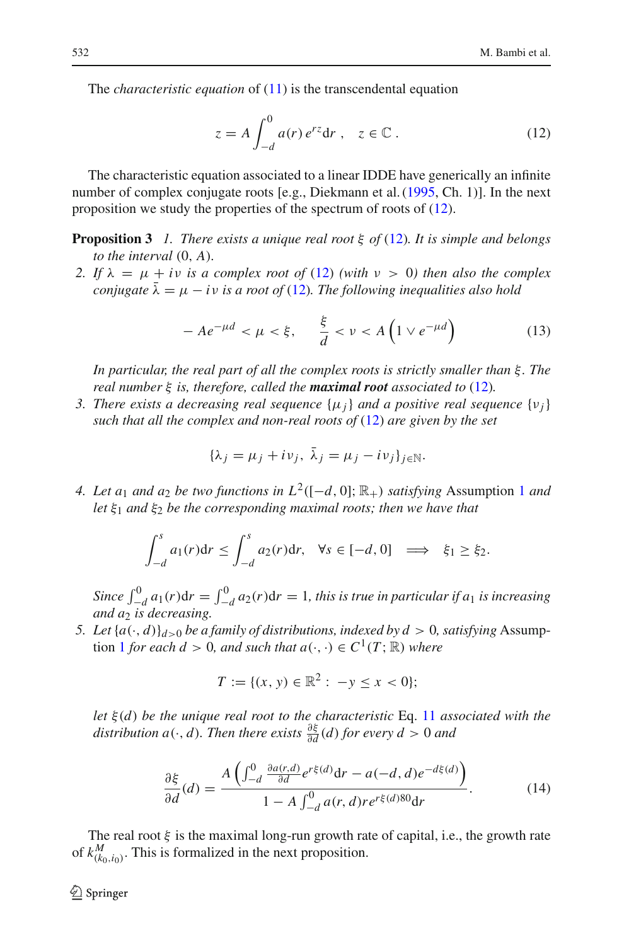<span id="page-12-0"></span>The *characteristic equation* of [\(11\)](#page-11-3) is the transcendental equation

$$
z = A \int_{-d}^{0} a(r) e^{rz} dr , \quad z \in \mathbb{C} .
$$
 (12)

The characteristic equation associated to a linear IDDE have generically an infinite number of complex conjugate roots [e.g., Diekmann et al. [\(1995,](#page-37-22) Ch. 1)]. In the next proposition we study the properties of the spectrum of roots of [\(12\)](#page-12-0).

<span id="page-12-1"></span>**Proposition 3** *1. There exists a unique real root* ξ *of* [\(12\)](#page-12-0)*. It is simple and belongs to the interval* (0, *A*)*.*

*2.* If  $\lambda = \mu + i\nu$  *is a complex root of* [\(12\)](#page-12-0) *(with*  $\nu > 0$ *) then also the complex conjugate*  $\bar{\lambda} = \mu - i\nu$  *is a root of* [\(12\)](#page-12-0)*. The following inequalities also hold* 

$$
-Ae^{-\mu d} < \mu < \xi, \qquad \frac{\xi}{d} < \nu < A\left(1 \vee e^{-\mu d}\right) \tag{13}
$$

<span id="page-12-3"></span>*In particular, the real part of all the complex roots is strictly smaller than* ξ *. The real number* ξ *is, therefore, called the maximal root associated to* [\(12\)](#page-12-0)*.*

*3. There exists a decreasing real sequence*  $\{\mu_i\}$  *and a positive real sequence*  $\{\nu_i\}$ *such that all the complex and non-real roots of* [\(12\)](#page-12-0) *are given by the set*

$$
\{\lambda_j = \mu_j + i\nu_j, \ \bar{\lambda}_j = \mu_j - i\nu_j\}_{j \in \mathbb{N}}.
$$

*4. Let a<sub>[1](#page-10-3)</sub> and a<sub>2</sub> be two functions in*  $L^2([-d, 0]; \mathbb{R}_+)$  *satisfying* Assumption 1 *and let* ξ<sub>1</sub> *and* ξ<sub>2</sub> *be the corresponding maximal roots; then we have that* 

$$
\int_{-d}^{s} a_1(r) dr \le \int_{-d}^{s} a_2(r) dr, \quad \forall s \in [-d, 0] \implies \xi_1 \ge \xi_2.
$$

*Since*  $\int_{-d}^{0} a_1(r) dr = \int_{-d}^{0} a_2(r) dr = 1$ , this is true in particular if  $a_1$  is increasing *and a<sub>2</sub> is decreasing.* 

*5. Let*  $\{a(\cdot, d)\}_{d>0}$  *be a family of distributions, indexed by*  $d > 0$ *, satisfying* Assump-tion [1](#page-10-3) *for each d* > 0*, and such that a* $(\cdot, \cdot) \in C^1(T; \mathbb{R})$  *where* 

$$
T := \{ (x, y) \in \mathbb{R}^2 : -y \le x < 0 \};
$$

*let* ξ(*d*) *be the unique real root to the characteristic* Eq. [11](#page-11-3) *associated with the distribution a*( $\cdot$ , *d*). Then there exists  $\frac{\partial \xi}{\partial d}(d)$  for every  $d > 0$  and

$$
\frac{\partial \xi}{\partial d}(d) = \frac{A\left(\int_{-d}^{0} \frac{\partial a(r,d)}{\partial d} e^{r\xi(d)} dr - a(-d,d)e^{-d\xi(d)}\right)}{1 - A\int_{-d}^{0} a(r,d) r e^{r\xi(d)} d\theta}.
$$
(14)

<span id="page-12-4"></span><span id="page-12-2"></span>The real root  $\xi$  is the maximal long-run growth rate of capital, i.e., the growth rate of  $k_{(k_0,i_0)}^M$ . This is formalized in the next proposition.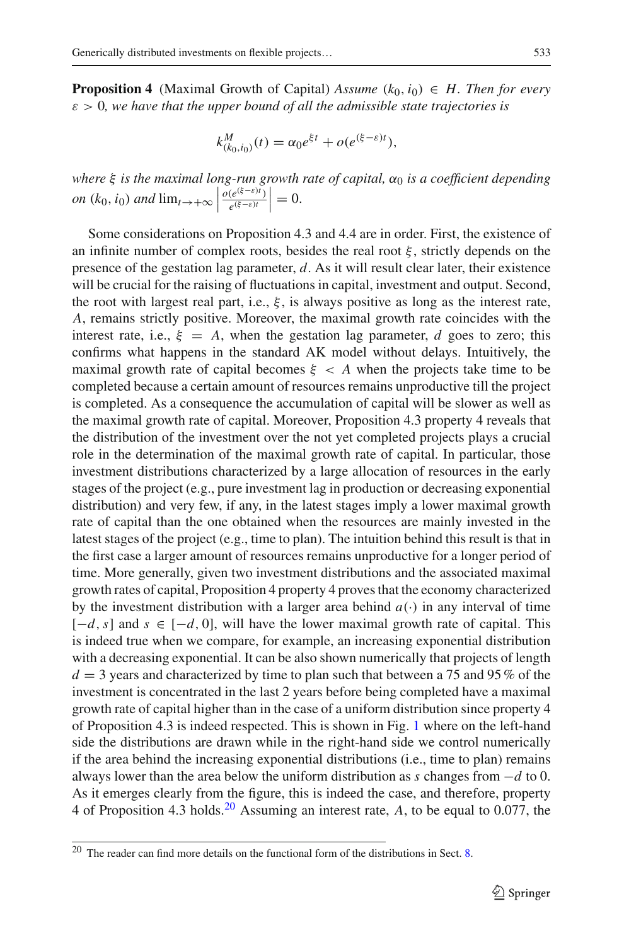**Proposition 4** (Maximal Growth of Capital) *Assume*  $(k_0, i_0) \in H$ . Then for every ε > 0*, we have that the upper bound of all the admissible state trajectories is*

$$
k_{(k_0,i_0)}^M(t) = \alpha_0 e^{\xi t} + o(e^{(\xi - \varepsilon)t}),
$$

*where* ξ *is the maximal long-run growth rate of capital,*  $α_0$  *is a coefficient depending on*  $(k_0, i_0)$  *and*  $\lim_{t \to +\infty}$  $\frac{o(e^{(\xi-\varepsilon)t})}{e^{(\xi-\varepsilon)t}}\Big| = 0.$ 

Some considerations on Proposition 4.3 and 4.4 are in order. First, the existence of an infinite number of complex roots, besides the real root  $\xi$ , strictly depends on the presence of the gestation lag parameter, *d*. As it will result clear later, their existence will be crucial for the raising of fluctuations in capital, investment and output. Second, the root with largest real part, i.e.,  $\xi$ , is always positive as long as the interest rate, *A*, remains strictly positive. Moreover, the maximal growth rate coincides with the interest rate, i.e.,  $\xi = A$ , when the gestation lag parameter, *d* goes to zero; this confirms what happens in the standard AK model without delays. Intuitively, the maximal growth rate of capital becomes  $\xi < A$  when the projects take time to be completed because a certain amount of resources remains unproductive till the project is completed. As a consequence the accumulation of capital will be slower as well as the maximal growth rate of capital. Moreover, Proposition 4.3 property 4 reveals that the distribution of the investment over the not yet completed projects plays a crucial role in the determination of the maximal growth rate of capital. In particular, those investment distributions characterized by a large allocation of resources in the early stages of the project (e.g., pure investment lag in production or decreasing exponential distribution) and very few, if any, in the latest stages imply a lower maximal growth rate of capital than the one obtained when the resources are mainly invested in the latest stages of the project (e.g., time to plan). The intuition behind this result is that in the first case a larger amount of resources remains unproductive for a longer period of time. More generally, given two investment distributions and the associated maximal growth rates of capital, Proposition 4 property 4 proves that the economy characterized by the investment distribution with a larger area behind  $a(\cdot)$  in any interval of time  $[-d, s]$  and  $s \in [-d, 0]$ , will have the lower maximal growth rate of capital. This is indeed true when we compare, for example, an increasing exponential distribution with a decreasing exponential. It can be also shown numerically that projects of length  $d = 3$  years and characterized by time to plan such that between a 75 and 95% of the investment is concentrated in the last 2 years before being completed have a maximal growth rate of capital higher than in the case of a uniform distribution since property 4 of Proposition 4.3 is indeed respected. This is shown in Fig. [1](#page-14-0) where on the left-hand side the distributions are drawn while in the right-hand side we control numerically if the area behind the increasing exponential distributions (i.e., time to plan) remains always lower than the area below the uniform distribution as *s* changes from −*d* to 0. As it emerges clearly from the figure, this is indeed the case, and therefore, property 4 of Proposition 4.3 holds[.20](#page-13-0) Assuming an interest rate, *A*, to be equal to 0.077, the

<span id="page-13-0"></span><sup>20</sup> The reader can find more details on the functional form of the distributions in Sect. [8.](#page-25-0)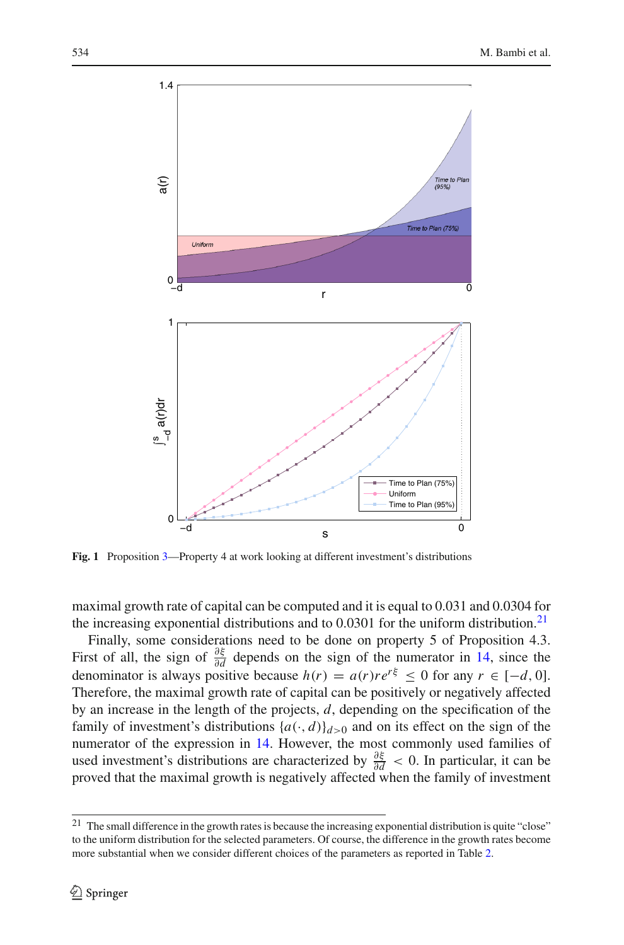

<span id="page-14-0"></span>**Fig. 1** Proposition [3—](#page-12-1)Property 4 at work looking at different investment's distributions

maximal growth rate of capital can be computed and it is equal to 0.031 and 0.0304 for the increasing exponential distributions and to  $0.0301$  for the uniform distribution.<sup>21</sup>

Finally, some considerations need to be done on property 5 of Proposition 4.3. First of all, the sign of  $\frac{\partial \xi}{\partial d}$  depends on the sign of the numerator in [14,](#page-12-2) since the denominator is always positive because  $h(r) = a(r)r e^{r\xi} < 0$  for any  $r \in [-d, 0]$ . Therefore, the maximal growth rate of capital can be positively or negatively affected by an increase in the length of the projects, *d*, depending on the specification of the family of investment's distributions  $\{a(\cdot, d)\}_{d>0}$  and on its effect on the sign of the numerator of the expression in [14.](#page-12-2) However, the most commonly used families of used investment's distributions are characterized by  $\frac{\partial \xi}{\partial d}$  < 0. In particular, it can be proved that the maximal growth is negatively affected when the family of investment

<span id="page-14-1"></span> $21$  The small difference in the growth rates is because the increasing exponential distribution is quite "close" to the uniform distribution for the selected parameters. Of course, the difference in the growth rates become more substantial when we consider different choices of the parameters as reported in Table [2.](#page-28-0)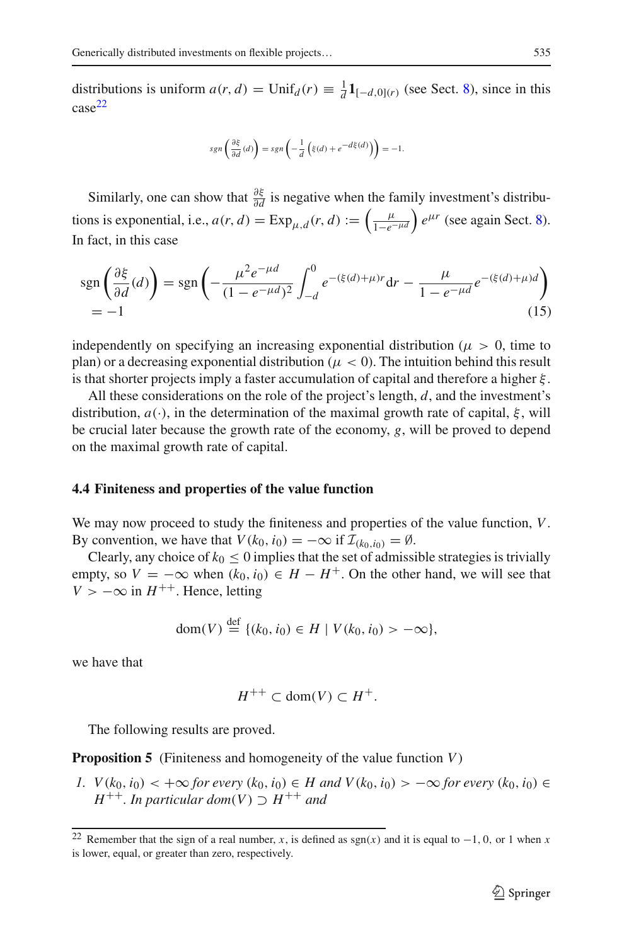distributions is uniform  $a(r, d) = \text{Unif}_d(r) \equiv \frac{1}{d} \mathbf{1}_{[-d, 0](r)}$  (see Sect. [8\)](#page-25-0), since in this cas[e22](#page-15-1)

$$
sgn\left(\frac{\partial\xi}{\partial d}(d)\right) = sgn\left(-\frac{1}{d}\left(\xi(d) + e^{-d\xi(d)}\right)\right) = -1.
$$

Similarly, one can show that  $\frac{\partial \xi}{\partial d}$  is negative when the family investment's distributions is exponential, i.e.,  $a(r, d) = \text{Exp}_{\mu, d}(r, d) := \left(\frac{\mu}{1 - e^{-\mu d}}\right)$  $\int e^{\mu r}$  (see again Sect. [8\)](#page-25-0). In fact, in this case

<span id="page-15-2"></span>
$$
\text{sgn}\left(\frac{\partial \xi}{\partial d}(d)\right) = \text{sgn}\left(-\frac{\mu^2 e^{-\mu d}}{(1 - e^{-\mu d})^2} \int_{-d}^0 e^{-(\xi(d) + \mu)r} \, \mathrm{d}r - \frac{\mu}{1 - e^{-\mu d}} e^{-(\xi(d) + \mu)d}\right) = -1\tag{15}
$$

independently on specifying an increasing exponential distribution ( $\mu > 0$ , time to plan) or a decreasing exponential distribution ( $\mu < 0$ ). The intuition behind this result is that shorter projects imply a faster accumulation of capital and therefore a higher  $\xi$ .

All these considerations on the role of the project's length, *d*, and the investment's distribution,  $a(\cdot)$ , in the determination of the maximal growth rate of capital,  $\xi$ , will be crucial later because the growth rate of the economy, *g*, will be proved to depend on the maximal growth rate of capital.

#### <span id="page-15-0"></span>**4.4 Finiteness and properties of the value function**

We may now proceed to study the finiteness and properties of the value function, *V*. By convention, we have that  $V(k_0, i_0) = -\infty$  if  $\mathcal{I}_{(k_0, i_0)} = \emptyset$ .

Clearly, any choice of  $k_0 \leq 0$  implies that the set of admissible strategies is trivially empty, so  $V = -\infty$  when  $(k_0, i_0) \in H - H^+$ . On the other hand, we will see that  $V > -\infty$  in  $H^{++}$ . Hence, letting

$$
dom(V) \stackrel{\text{def}}{=} \{ (k_0, i_0) \in H \mid V(k_0, i_0) > -\infty \},
$$

we have that

$$
H^{++} \subset \text{dom}(V) \subset H^+.
$$

The following results are proved.

<span id="page-15-3"></span>**Proposition 5** (Finiteness and homogeneity of the value function *V*)

*1.*  $V(k_0, i_0)$  <  $+\infty$  *for every*  $(k_0, i_0)$  ∈ *H* and  $V(k_0, i_0)$  >  $-\infty$  *for every*  $(k_0, i_0)$  ∈ *H*<sup>++</sup>*. In particular dom*(*V*) ⊃ *H*<sup>++</sup> and

<span id="page-15-1"></span><sup>&</sup>lt;sup>22</sup> Remember that the sign of a real number, *x*, is defined as sgn(*x*) and it is equal to −1, 0, or 1 when *x* is lower, equal, or greater than zero, respectively.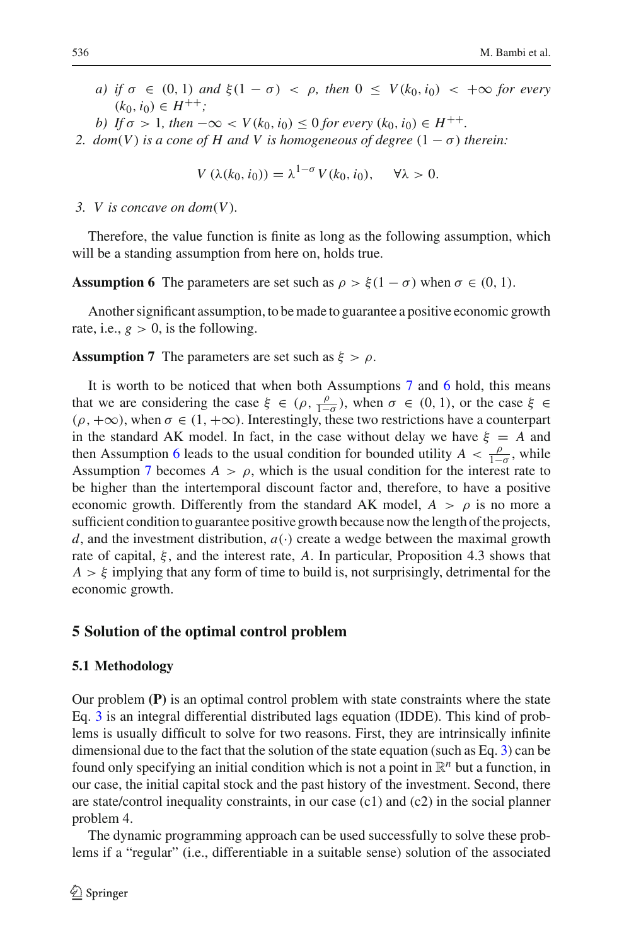- *a)* if  $\sigma \in (0, 1)$  and  $\xi(1 \sigma) < \rho$ , then  $0 \le V(k_0, i_0) < +\infty$  for every  $(k_0, i_0) \in H^{++}$ ;
- *b)* If  $\sigma > 1$ , then  $-\infty < V(k_0, i_0) \leq 0$  for every  $(k_0, i_0) \in H^{++}$ .
- *2. dom*(*V*) *is a cone of H and V is homogeneous of degree*  $(1 \sigma)$  *therein:*

$$
V(\lambda(k_0, i_0)) = \lambda^{1-\sigma} V(k_0, i_0), \quad \forall \lambda > 0.
$$

#### *3. V is concave on dom*(*V*)*.*

<span id="page-16-2"></span>Therefore, the value function is finite as long as the following assumption, which will be a standing assumption from here on, holds true.

**Assumption 6** The parameters are set such as  $\rho > \xi(1-\sigma)$  when  $\sigma \in (0,1)$ .

<span id="page-16-1"></span>Another significant assumption, to be made to guarantee a positive economic growth rate, i.e.,  $g > 0$ , is the following.

## **Assumption 7** The parameters are set such as  $\xi > \rho$ .

It is worth to be noticed that when both Assumptions [7](#page-16-1) and [6](#page-16-2) hold, this means that we are considering the case  $\xi \in (\rho, \frac{\rho}{1-\sigma})$ , when  $\sigma \in (0, 1)$ , or the case  $\xi \in$  $(\rho, +\infty)$ , when  $\sigma \in (1, +\infty)$ . Interestingly, these two restrictions have a counterpart in the standard AK model. In fact, in the case without delay we have  $\xi = A$  and then Assumption [6](#page-16-2) leads to the usual condition for bounded utility  $A < \frac{\rho}{1-\sigma}$ , while Assumption [7](#page-16-1) becomes  $A > \rho$ , which is the usual condition for the interest rate to be higher than the intertemporal discount factor and, therefore, to have a positive economic growth. Differently from the standard AK model,  $A > \rho$  is no more a sufficient condition to guarantee positive growth because now the length of the projects, *d*, and the investment distribution,  $a(\cdot)$  create a wedge between the maximal growth rate of capital,  $\xi$ , and the interest rate, A. In particular, Proposition 4.3 shows that  $A > \xi$  implying that any form of time to build is, not surprisingly, detrimental for the economic growth.

### <span id="page-16-0"></span>**5 Solution of the optimal control problem**

#### **5.1 Methodology**

Our problem **(P)** is an optimal control problem with state constraints where the state Eq. [3](#page-9-1) is an integral differential distributed lags equation (IDDE). This kind of problems is usually difficult to solve for two reasons. First, they are intrinsically infinite dimensional due to the fact that the solution of the state equation (such as Eq. [3\)](#page-9-1) can be found only specifying an initial condition which is not a point in  $\mathbb{R}^n$  but a function, in our case, the initial capital stock and the past history of the investment. Second, there are state/control inequality constraints, in our case  $(c1)$  and  $(c2)$  in the social planner problem 4.

The dynamic programming approach can be used successfully to solve these problems if a "regular" (i.e., differentiable in a suitable sense) solution of the associated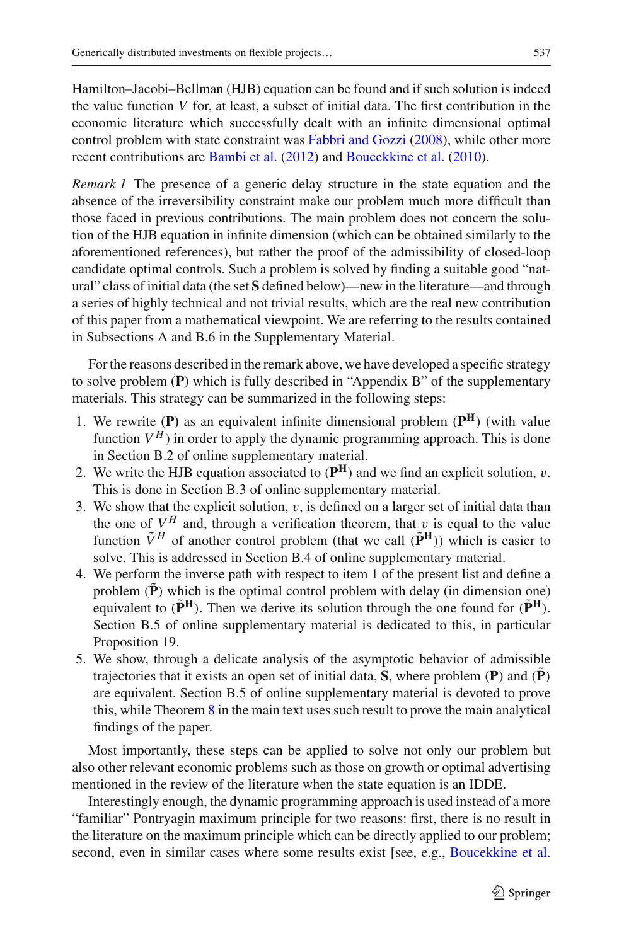Hamilton–Jacobi–Bellman (HJB) equation can be found and if such solution is indeed the value function *V* for, at least, a subset of initial data. The first contribution in the economic literature which successfully dealt with an infinite dimensional optimal control problem with state constraint was [Fabbri and Gozzi](#page-37-18) [\(2008\)](#page-37-18), while other more recent contributions are [Bambi et al.](#page-37-2) [\(2012](#page-37-2)) and [Boucekkine et al.](#page-37-19) [\(2010](#page-37-19)).

*Remark 1* The presence of a generic delay structure in the state equation and the absence of the irreversibility constraint make our problem much more difficult than those faced in previous contributions. The main problem does not concern the solution of the HJB equation in infinite dimension (which can be obtained similarly to the aforementioned references), but rather the proof of the admissibility of closed-loop candidate optimal controls. Such a problem is solved by finding a suitable good "natural" class of initial data (the set **S** defined below)—new in the literature—and through a series of highly technical and not trivial results, which are the real new contribution of this paper from a mathematical viewpoint. We are referring to the results contained in Subsections A and B.6 in the Supplementary Material.

For the reasons described in the remark above, we have developed a specific strategy to solve problem **(P)** which is fully described in "Appendix B" of the supplementary materials. This strategy can be summarized in the following steps:

- 1. We rewrite  $(P)$  as an equivalent infinite dimensional problem  $(P^H)$  (with value function  $V^H$ ) in order to apply the dynamic programming approach. This is done in Section B.2 of online supplementary material.
- 2. We write the HJB equation associated to  $(P^H)$  and we find an explicit solution, v. This is done in Section B.3 of online supplementary material.
- 3. We show that the explicit solution,  $v$ , is defined on a larger set of initial data than the one of  $V^H$  and, through a verification theorem, that v is equal to the value function  $\tilde{V}^H$  of another control problem (that we call  $(\tilde{P}^H)$ ) which is easier to solve. This is addressed in Section B.4 of online supplementary material.
- 4. We perform the inverse path with respect to item 1 of the present list and define a problem (P) which is the optimal control problem with delay (in dimension one) equivalent to  $(\tilde{P}^H)$ . Then we derive its solution through the one found for  $(\tilde{P}^H)$ . Section B.5 of online supplementary material is dedicated to this, in particular Proposition 19.
- 5. We show, through a delicate analysis of the asymptotic behavior of admissible trajectories that it exists an open set of initial data,  $S$ , where problem  $(P)$  and  $(\tilde{P})$ are equivalent. Section B.5 of online supplementary material is devoted to prove this, while Theorem [8](#page-18-0) in the main text uses such result to prove the main analytical findings of the paper.

Most importantly, these steps can be applied to solve not only our problem but also other relevant economic problems such as those on growth or optimal advertising mentioned in the review of the literature when the state equation is an IDDE.

Interestingly enough, the dynamic programming approach is used instead of a more "familiar" Pontryagin maximum principle for two reasons: first, there is no result in the literature on the maximum principle which can be directly applied to our problem; second, even in similar cases where some results exist [see, e.g., [Boucekkine et al.](#page-37-23)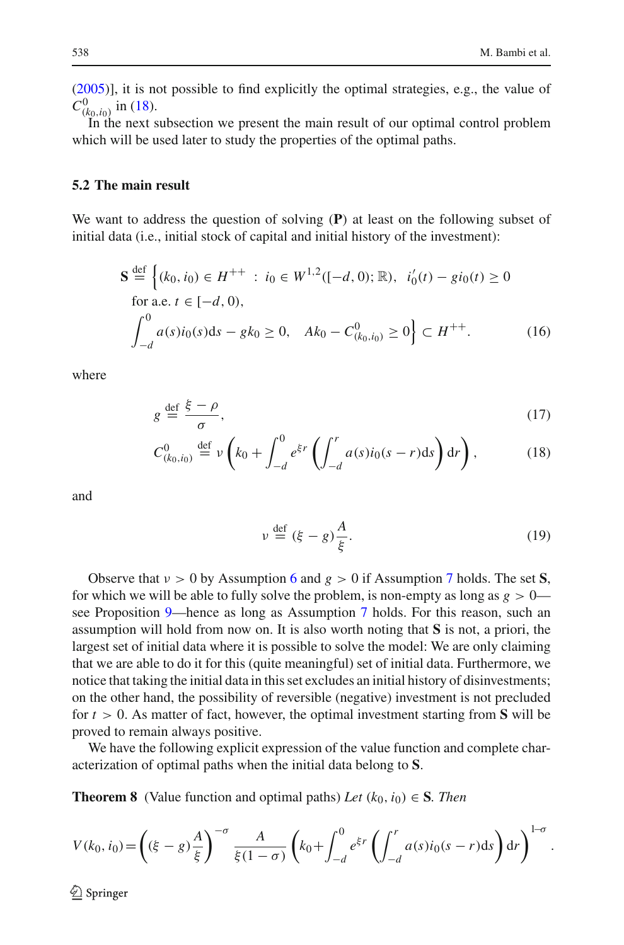[\(2005\)](#page-37-23)], it is not possible to find explicitly the optimal strategies, e.g., the value of  $C^0_{(k_0,i_0)}$  in [\(18\)](#page-18-1).

In the next subsection we present the main result of our optimal control problem which will be used later to study the properties of the optimal paths.

#### **5.2 The main result**

We want to address the question of solving (**P**) at least on the following subset of initial data (i.e., initial stock of capital and initial history of the investment):

$$
\mathbf{S} \stackrel{\text{def}}{=} \left\{ (k_0, i_0) \in H^{++} : i_0 \in W^{1,2}([-d, 0); \mathbb{R}), \ i'_0(t) - gi_0(t) \ge 0 \right\}
$$
\nfor a.e.  $t \in [-d, 0)$ ,\n
$$
\int_{-d}^{0} a(s)i_0(s)ds - g k_0 \ge 0, \quad Ak_0 - C^0_{(k_0, i_0)} \ge 0 \right\} \subset H^{++}.
$$
\n(16)

<span id="page-18-1"></span>where

$$
g \stackrel{\text{def}}{=} \frac{\xi - \rho}{\sigma},\tag{17}
$$

<span id="page-18-2"></span>
$$
C_{(k_0, i_0)}^{0} \stackrel{\text{def}}{=} \nu \left( k_0 + \int_{-d}^{0} e^{\xi r} \left( \int_{-d}^{r} a(s) i_0(s - r) \, \mathrm{d} s \right) \, \mathrm{d} r \right),\tag{18}
$$

and

$$
\nu \stackrel{\text{def}}{=} (\xi - g) \frac{A}{\xi}.\tag{19}
$$

Observe that  $v > 0$  by Assumption [6](#page-16-2) and  $g > 0$  if Assumption [7](#page-16-1) holds. The set **S**, for which we will be able to fully solve the problem, is non-empty as long as  $g > 0$  see Proposition [9—](#page-20-1)hence as long as Assumption [7](#page-16-1) holds. For this reason, such an assumption will hold from now on. It is also worth noting that **S** is not, a priori, the largest set of initial data where it is possible to solve the model: We are only claiming that we are able to do it for this (quite meaningful) set of initial data. Furthermore, we notice that taking the initial data in this set excludes an initial history of disinvestments; on the other hand, the possibility of reversible (negative) investment is not precluded for  $t > 0$ . As matter of fact, however, the optimal investment starting from **S** will be proved to remain always positive.

<span id="page-18-0"></span>We have the following explicit expression of the value function and complete characterization of optimal paths when the initial data belong to **S**.

**Theorem 8** (Value function and optimal paths) *Let*  $(k_0, i_0) \in S$ *. Then* 

$$
V(k_0, i_0) = \left( (\xi - g) \frac{A}{\xi} \right)^{-\sigma} \frac{A}{\xi (1 - \sigma)} \left( k_0 + \int_{-d}^0 e^{\xi r} \left( \int_{-d}^r a(s) i_0 (s - r) \, ds \right) dr \right)^{1 - \sigma}.
$$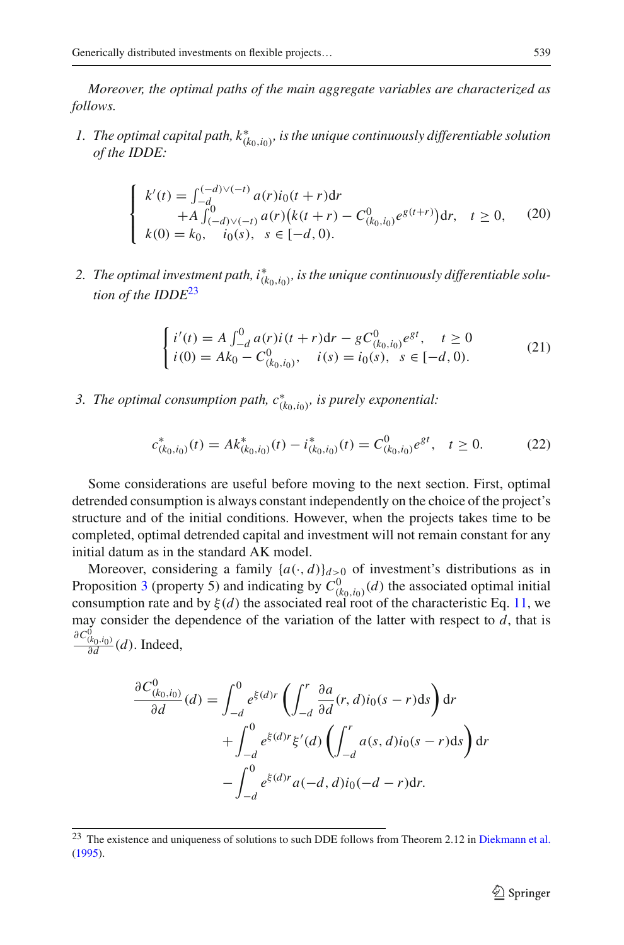*Moreover, the optimal paths of the main aggregate variables are characterized as follows.*

*1.* The optimal capital path,  $k^*_{(k_0,i_0)}$ , is the unique continuously differentiable solution *of the IDDE:*

$$
\begin{cases}\nk'(t) = \int_{-d}^{(-d)\vee(-t)} a(r)i_0(t+r)dr \\
+ A \int_{(-d)\vee(-t)}^{0} a(r) (k(t+r) - C_{(k_0,i_0)}^0 e^{g(t+r)}) dr, \quad t \ge 0, \quad (20) \\
k(0) = k_0, \quad i_0(s), \quad s \in [-d, 0).\n\end{cases}
$$

*2. The optimal investment path, i*∗ (*k*0,*i*0) *, is the unique continuously differentiable solution of the IDDE*[23](#page-19-0)

$$
\begin{cases}\ni'(t) = A \int_{-d}^{0} a(r)i(t+r)dr - gC_{(k_0,i_0)}^0 e^{gt}, \quad t \ge 0 \\
i(0) = Ak_0 - C_{(k_0,i_0)}^0, \quad i(s) = i_0(s), \quad s \in [-d, 0).\n\end{cases}
$$
\n(21)

<span id="page-19-1"></span>*3. The optimal consumption path, c*∗ (*k*0,*i*0) *, is purely exponential:*

$$
c_{(k_0,i_0)}^*(t) = Ak_{(k_0,i_0)}^*(t) - i_{(k_0,i_0)}^*(t) = C_{(k_0,i_0)}^0 e^{st}, \quad t \ge 0.
$$
 (22)

Some considerations are useful before moving to the next section. First, optimal detrended consumption is always constant independently on the choice of the project's structure and of the initial conditions. However, when the projects takes time to be completed, optimal detrended capital and investment will not remain constant for any initial datum as in the standard AK model.

Moreover, considering a family  $\{a(\cdot, d)\}_{d>0}$  of investment's distributions as in Proposition [3](#page-12-1) (property 5) and indicating by  $C^0_{(k_0,i_0)}(d)$  the associated optimal initial consumption rate and by  $\xi(d)$  the associated real root of the characteristic Eq. [11,](#page-11-3) we may consider the dependence of the variation of the latter with respect to *d*, that is  $\frac{\partial C^0_{(k_0,i_0)}}{\partial d}(d)$ . Indeed,

$$
\frac{\partial C_{(k_0,i_0)}^0}{\partial d}(d) = \int_{-d}^0 e^{\xi(d)r} \left( \int_{-d}^r \frac{\partial a}{\partial d}(r, d) i_0(s-r) \, ds \right) dr
$$

$$
+ \int_{-d}^0 e^{\xi(d)r} \xi'(d) \left( \int_{-d}^r a(s, d) i_0(s-r) \, ds \right) dr
$$

$$
- \int_{-d}^0 e^{\xi(d)r} a(-d, d) i_0(-d-r) dr.
$$

<span id="page-19-0"></span><sup>&</sup>lt;sup>23</sup> The existence and uniqueness of solutions to such DDE follows from Theorem 2.12 in [Diekmann et al.](#page-37-22) [\(1995](#page-37-22)).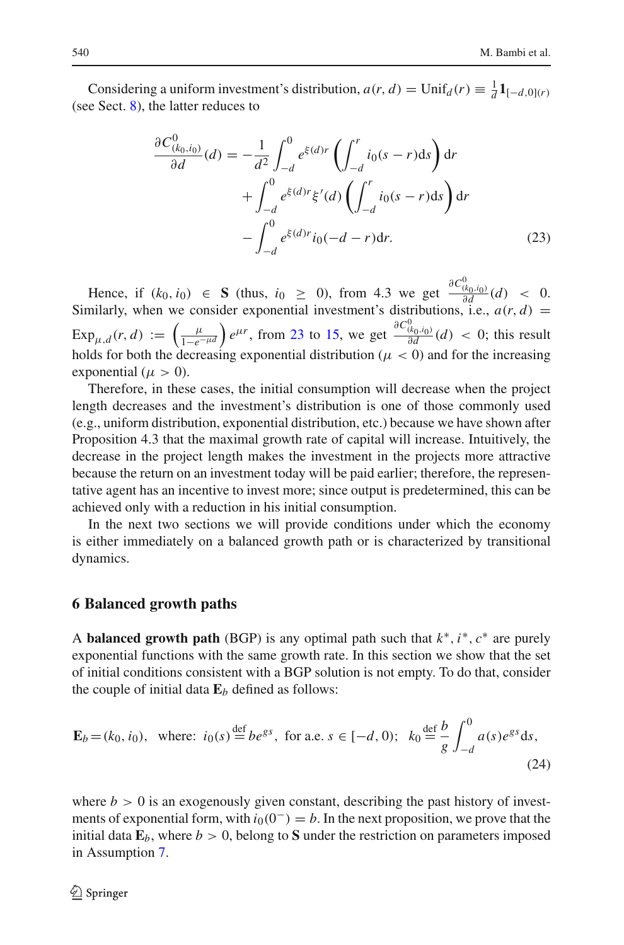<span id="page-20-2"></span>Considering a uniform investment's distribution,  $a(r, d) = \text{Unif}_d(r) \equiv \frac{1}{d} \mathbf{1}_{[-d, 0](r)}$ (see Sect. [8\)](#page-25-0), the latter reduces to

$$
\frac{\partial C_{(k_0,i_0)}^0}{\partial d}(d) = -\frac{1}{d^2} \int_{-d}^0 e^{\xi(d)r} \left( \int_{-d}^r i_0(s-r) \, \mathrm{d}s \right) \, \mathrm{d}r
$$
\n
$$
+ \int_{-d}^0 e^{\xi(d)r} \xi'(d) \left( \int_{-d}^r i_0(s-r) \, \mathrm{d}s \right) \, \mathrm{d}r
$$
\n
$$
- \int_{-d}^0 e^{\xi(d)r} i_0(-d-r) \, \mathrm{d}r. \tag{23}
$$

Hence, if  $(k_0, i_0) \in \mathbf{S}$  (thus,  $i_0 \geq 0$ ), from 4.3 we get  $\frac{\partial C_{(k_0, i_0)}^0}{\partial d}(d) < 0$ . Similarly, when we consider exponential investment's distributions, i.e.,  $a(r, d)$  =  $\exp_{\mu,d}(r,d) := \left(\frac{\mu}{1-e^{-\mu d}}\right)$  $\int e^{\mu r}$ , from [23](#page-20-2) to [15,](#page-15-2) we get  $\frac{\partial C_{(k_0,i_0)}^0}{\partial d}(d) < 0$ ; this result holds for both the decreasing exponential distribution ( $\mu < 0$ ) and for the increasing exponential ( $\mu > 0$ ).

Therefore, in these cases, the initial consumption will decrease when the project length decreases and the investment's distribution is one of those commonly used (e.g., uniform distribution, exponential distribution, etc.) because we have shown after Proposition 4.3 that the maximal growth rate of capital will increase. Intuitively, the decrease in the project length makes the investment in the projects more attractive because the return on an investment today will be paid earlier; therefore, the representative agent has an incentive to invest more; since output is predetermined, this can be achieved only with a reduction in his initial consumption.

In the next two sections we will provide conditions under which the economy is either immediately on a balanced growth path or is characterized by transitional dynamics.

#### <span id="page-20-0"></span>**6 Balanced growth paths**

A **balanced growth path** (BGP) is any optimal path such that *k*∗,*i*∗, *c*∗ are purely exponential functions with the same growth rate. In this section we show that the set of initial conditions consistent with a BGP solution is not empty. To do that, consider the couple of initial data  $\mathbf{E}_b$  defined as follows:

$$
\mathbf{E}_b = (k_0, i_0), \text{ where: } i_0(s) \stackrel{\text{def}}{=} be^{gs}, \text{ for a.e. } s \in [-d, 0); \quad k_0 \stackrel{\text{def}}{=} \frac{b}{g} \int_{-d}^{0} a(s) e^{gs} ds,
$$
\n(24)

<span id="page-20-1"></span>where  $b > 0$  is an exogenously given constant, describing the past history of investments of exponential form, with  $i_0(0^-) = b$ . In the next proposition, we prove that the initial data  $\mathbf{E}_b$ , where  $b > 0$ , belong to **S** under the restriction on parameters imposed in Assumption [7.](#page-16-1)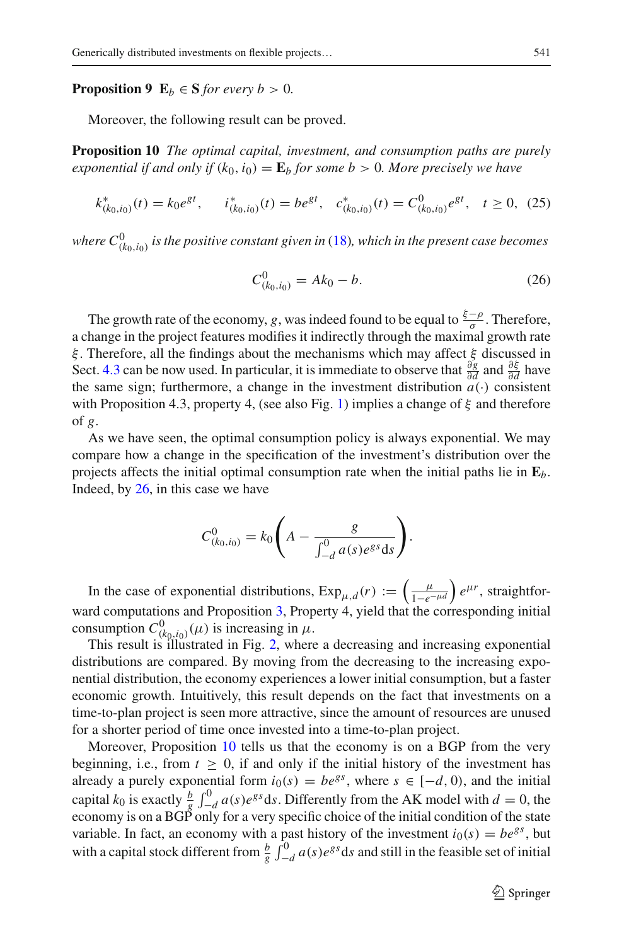**Proposition 9**  $\mathbf{E}_b \in \mathbf{S}$  *for every b* > 0*.* 

Moreover, the following result can be proved.

<span id="page-21-1"></span>**Proposition 10** *The optimal capital, investment, and consumption paths are purely exponential if and only if*  $(k_0, i_0) = \mathbf{E}_b$  *for some b* > 0*. More precisely we have* 

$$
k_{(k_0,i_0)}^*(t) = k_0 e^{gt}, \quad i_{(k_0,i_0)}^*(t) = b e^{gt}, \quad c_{(k_0,i_0)}^*(t) = C_{(k_0,i_0)}^0 e^{gt}, \quad t \ge 0, \tag{25}
$$

<span id="page-21-0"></span>where  $C^0_{(k_0,i_0)}$  is the positive constant given in [\(18\)](#page-18-1), which in the present case becomes

$$
C^0_{(k_0, i_0)} = Ak_0 - b. \tag{26}
$$

The growth rate of the economy, *g*, was indeed found to be equal to  $\frac{\xi - \rho}{\sigma}$ . Therefore, a change in the project features modifies it indirectly through the maximal growth rate ξ. Therefore, all the findings about the mechanisms which may affect  $\xi$  discussed in Sect. [4.3](#page-11-4) can be now used. In particular, it is immediate to observe that  $\frac{\partial g}{\partial d}$  and  $\frac{\partial \xi}{\partial d}$  have the same sign; furthermore, a change in the investment distribution  $a(\cdot)$  consistent with Proposition 4.3, property 4, (see also Fig. [1\)](#page-14-0) implies a change of  $\xi$  and therefore of *g*.

As we have seen, the optimal consumption policy is always exponential. We may compare how a change in the specification of the investment's distribution over the projects affects the initial optimal consumption rate when the initial paths lie in **E***b*. Indeed, by [26,](#page-21-0) in this case we have

$$
C_{(k_0,i_0)}^0 = k_0 \left( A - \frac{g}{\int_{-d}^0 a(s) e^{gs} ds} \right).
$$

In the case of exponential distributions,  $Exp_{\mu,d}(r) := \left(\frac{\mu}{1-e^{-\mu d}}\right)$  $\int e^{\mu r}$ , straightfor-ward computations and Proposition [3,](#page-12-1) Property 4, yield that the corresponding initial consumption  $C^0_{(k_0,i_0)}(\mu)$  is increasing in  $\mu$ .

This result is illustrated in Fig. [2,](#page-22-1) where a decreasing and increasing exponential distributions are compared. By moving from the decreasing to the increasing exponential distribution, the economy experiences a lower initial consumption, but a faster economic growth. Intuitively, this result depends on the fact that investments on a time-to-plan project is seen more attractive, since the amount of resources are unused for a shorter period of time once invested into a time-to-plan project.

Moreover, Proposition [10](#page-21-1) tells us that the economy is on a BGP from the very beginning, i.e., from  $t \geq 0$ , if and only if the initial history of the investment has already a purely exponential form  $i_0(s) = be^{gs}$ , where  $s \in [-d, 0)$ , and the initial capital  $k_0$  is exactly  $\frac{b}{g} \int_{-d}^{0} a(s) e^{gs} ds$ . Differently from the AK model with  $d = 0$ , the economy is on a BGP only for a very specific choice of the initial condition of the state variable. In fact, an economy with a past history of the investment  $i_0(s) = be^{gs}$ , but with a capital stock different from  $\frac{b}{g} \int_{-d}^{0} a(s) e^{gs} ds$  and still in the feasible set of initial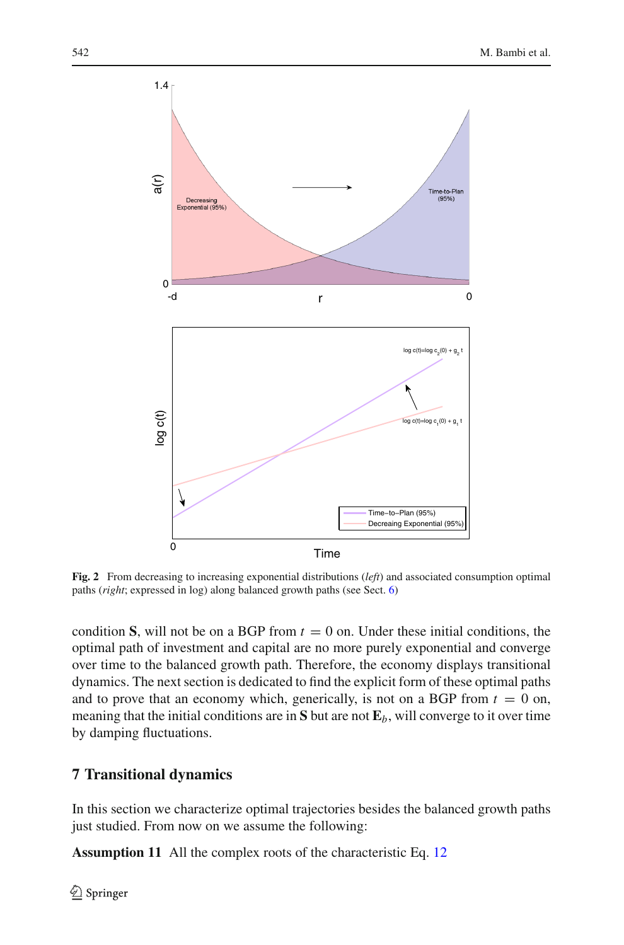

<span id="page-22-1"></span>**Fig. 2** From decreasing to increasing exponential distributions (*left*) and associated consumption optimal paths (*right*; expressed in log) along balanced growth paths (see Sect. [6\)](#page-20-0)

condition **S**, will not be on a BGP from  $t = 0$  on. Under these initial conditions, the optimal path of investment and capital are no more purely exponential and converge over time to the balanced growth path. Therefore, the economy displays transitional dynamics. The next section is dedicated to find the explicit form of these optimal paths and to prove that an economy which, generically, is not on a BGP from  $t = 0$  on, meaning that the initial conditions are in **S** but are not **E***b*, will converge to it over time by damping fluctuations.

## <span id="page-22-0"></span>**7 Transitional dynamics**

<span id="page-22-2"></span>In this section we characterize optimal trajectories besides the balanced growth paths just studied. From now on we assume the following:

**Assumption 11** All the complex roots of the characteristic Eq. [12](#page-12-0)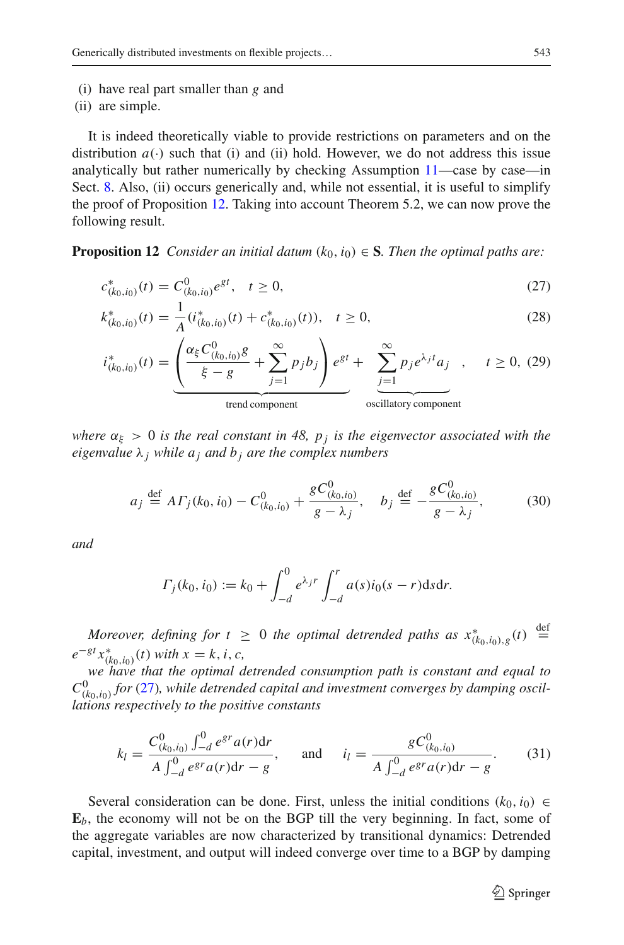(i) have real part smaller than *g* and

(ii) are simple.

It is indeed theoretically viable to provide restrictions on parameters and on the distribution  $a(\cdot)$  such that (i) and (ii) hold. However, we do not address this issue analytically but rather numerically by checking Assumption [11—](#page-22-2)case by case—in Sect. [8.](#page-25-0) Also, (ii) occurs generically and, while not essential, it is useful to simplify the proof of Proposition [12.](#page-23-0) Taking into account Theorem 5.2, we can now prove the following result.

<span id="page-23-1"></span><span id="page-23-0"></span>**Proposition 12** *Consider an initial datum*  $(k_0, i_0) \in S$ *. Then the optimal paths are:* 

$$
c_{(k_0, i_0)}^*(t) = C_{(k_0, i_0)}^0 e^{st}, \quad t \ge 0,
$$
\n(27)

$$
k_{(k_0, i_0)}^*(t) = \frac{1}{A} (i_{(k_0, i_0)}^*(t) + c_{(k_0, i_0)}^*(t)), \quad t \ge 0,
$$
\n(28)

$$
i_{(k_0,i_0)}^*(t) = \underbrace{\left(\frac{\alpha_{\xi}C_{(k_0,i_0)}^0g}{\xi - g} + \sum_{j=1}^{\infty} p_j b_j\right) e^{gt}}_{\text{trend component}} + \underbrace{\sum_{j=1}^{\infty} p_j e^{\lambda_j t} a_j}_{\text{oscillatory component}}, \quad t \ge 0, (29)
$$

*where*  $\alpha_{\xi} > 0$  *is the real constant in 48, p<sub>j</sub> is the eigenvector associated with the eigenvalue*  $\lambda_i$  *while*  $a_i$  *and*  $b_i$  *are the complex numbers* 

$$
a_j \stackrel{\text{def}}{=} A\Gamma_j(k_0, i_0) - C^0_{(k_0, i_0)} + \frac{gC^0_{(k_0, i_0)}}{g - \lambda_j}, \quad b_j \stackrel{\text{def}}{=} -\frac{gC^0_{(k_0, i_0)}}{g - \lambda_j}, \tag{30}
$$

<span id="page-23-2"></span>*and*

$$
\Gamma_j(k_0, i_0) := k_0 + \int_{-d}^{0} e^{\lambda_j r} \int_{-d}^{r} a(s) i_0(s - r) \, \mathrm{d} s \, \mathrm{d} r.
$$

*Moreover, defining for*  $t \geq 0$  *the optimal detrended paths as*  $x^*_{(k_0,i_0),g}(t) \stackrel{\text{def}}{=}$  $e^{-gt} x^*_{(k_0,i_0)}(t)$  *with*  $x = k, i, c$ ,

*we have that the optimal detrended consumption path is constant and equal to*  $C_{(k_0,i_0)}^0$  *for* [\(27\)](#page-23-1), while detrended capital and investment converges by damping oscil*lations respectively to the positive constants*

$$
k_l = \frac{C_{(k_0,i_0)}^0 \int_{-d}^0 e^{gr} a(r) dr}{A \int_{-d}^0 e^{gr} a(r) dr - g}, \quad \text{and} \quad i_l = \frac{g C_{(k_0,i_0)}^0}{A \int_{-d}^0 e^{gr} a(r) dr - g}.
$$
 (31)

Several consideration can be done. First, unless the initial conditions  $(k_0, i_0) \in$  $\mathbf{E}_b$ , the economy will not be on the BGP till the very beginning. In fact, some of the aggregate variables are now characterized by transitional dynamics: Detrended capital, investment, and output will indeed converge over time to a BGP by damping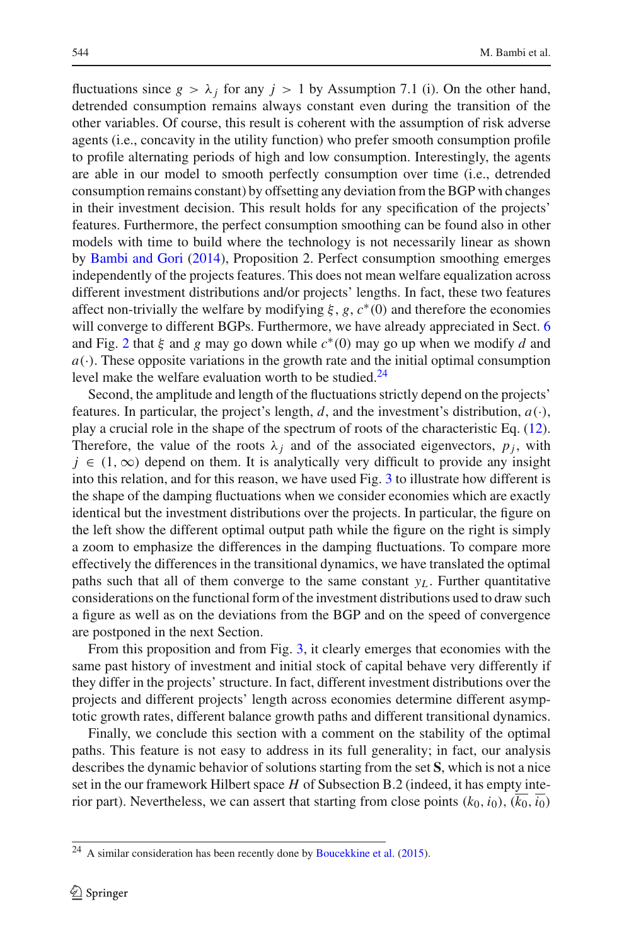fluctuations since  $g > \lambda_j$  for any  $j > 1$  by Assumption 7.1 (i). On the other hand, detrended consumption remains always constant even during the transition of the other variables. Of course, this result is coherent with the assumption of risk adverse agents (i.e., concavity in the utility function) who prefer smooth consumption profile to profile alternating periods of high and low consumption. Interestingly, the agents are able in our model to smooth perfectly consumption over time (i.e., detrended consumption remains constant) by offsetting any deviation from the BGP with changes in their investment decision. This result holds for any specification of the projects' features. Furthermore, the perfect consumption smoothing can be found also in other models with time to build where the technology is not necessarily linear as shown by [Bambi and Gori](#page-37-24) [\(2014\)](#page-37-24), Proposition 2. Perfect consumption smoothing emerges independently of the projects features. This does not mean welfare equalization across different investment distributions and/or projects' lengths. In fact, these two features affect non-trivially the welfare by modifying  $\xi$ , *g*,  $c^*(0)$  and therefore the economies will converge to different BGPs. Furthermore, we have already appreciated in Sect. [6](#page-20-0) and Fig. [2](#page-22-1) that ξ and *g* may go down while *c*∗(0) may go up when we modify *d* and  $a(\cdot)$ . These opposite variations in the growth rate and the initial optimal consumption level make the welfare evaluation worth to be studied. $24$ 

Second, the amplitude and length of the fluctuations strictly depend on the projects' features. In particular, the project's length, *d*, and the investment's distribution,  $a(\cdot)$ , play a crucial role in the shape of the spectrum of roots of the characteristic Eq. [\(12\)](#page-12-0). Therefore, the value of the roots  $\lambda_i$  and of the associated eigenvectors,  $p_i$ , with  $j \in (1, \infty)$  depend on them. It is analytically very difficult to provide any insight into this relation, and for this reason, we have used Fig. [3](#page-25-1) to illustrate how different is the shape of the damping fluctuations when we consider economies which are exactly identical but the investment distributions over the projects. In particular, the figure on the left show the different optimal output path while the figure on the right is simply a zoom to emphasize the differences in the damping fluctuations. To compare more effectively the differences in the transitional dynamics, we have translated the optimal paths such that all of them converge to the same constant  $y_L$ . Further quantitative considerations on the functional form of the investment distributions used to draw such a figure as well as on the deviations from the BGP and on the speed of convergence are postponed in the next Section.

From this proposition and from Fig. [3,](#page-25-1) it clearly emerges that economies with the same past history of investment and initial stock of capital behave very differently if they differ in the projects' structure. In fact, different investment distributions over the projects and different projects' length across economies determine different asymptotic growth rates, different balance growth paths and different transitional dynamics.

Finally, we conclude this section with a comment on the stability of the optimal paths. This feature is not easy to address in its full generality; in fact, our analysis describes the dynamic behavior of solutions starting from the set **S**, which is not a nice set in the our framework Hilbert space *H* of Subsection B.2 (indeed, it has empty interior part). Nevertheless, we can assert that starting from close points  $(k_0, i_0)$ ,  $(\overline{k_0}, \overline{i_0})$ 

<span id="page-24-0"></span><sup>24</sup> A similar consideration has been recently done by [Boucekkine et al.](#page-37-25) [\(2015\)](#page-37-25).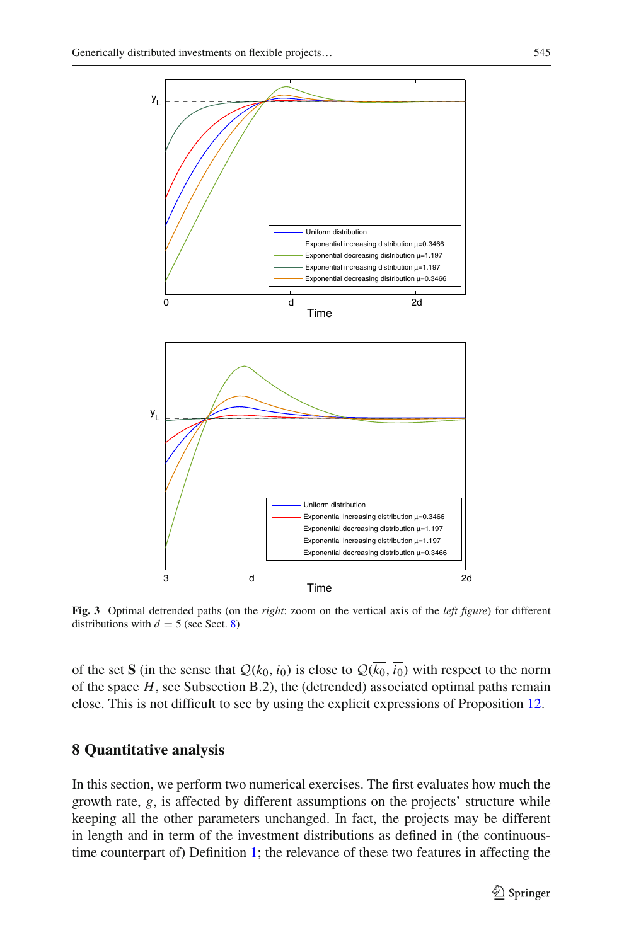

<span id="page-25-1"></span>**Fig. 3** Optimal detrended paths (on the *right*: zoom on the vertical axis of the *left figure*) for different distributions with  $d = 5$  (see Sect. [8\)](#page-25-0)

of the set **S** (in the sense that  $Q(k_0, i_0)$  is close to  $Q(\overline{k_0}, \overline{i_0})$  with respect to the norm of the space  $H$ , see Subsection B.2), the (detrended) associated optimal paths remain close. This is not difficult to see by using the explicit expressions of Proposition [12.](#page-23-0)

#### <span id="page-25-0"></span>**8 Quantitative analysis**

In this section, we perform two numerical exercises. The first evaluates how much the growth rate, *g*, is affected by different assumptions on the projects' structure while keeping all the other parameters unchanged. In fact, the projects may be different in length and in term of the investment distributions as defined in (the continuoustime counterpart of) Definition [1;](#page-7-4) the relevance of these two features in affecting the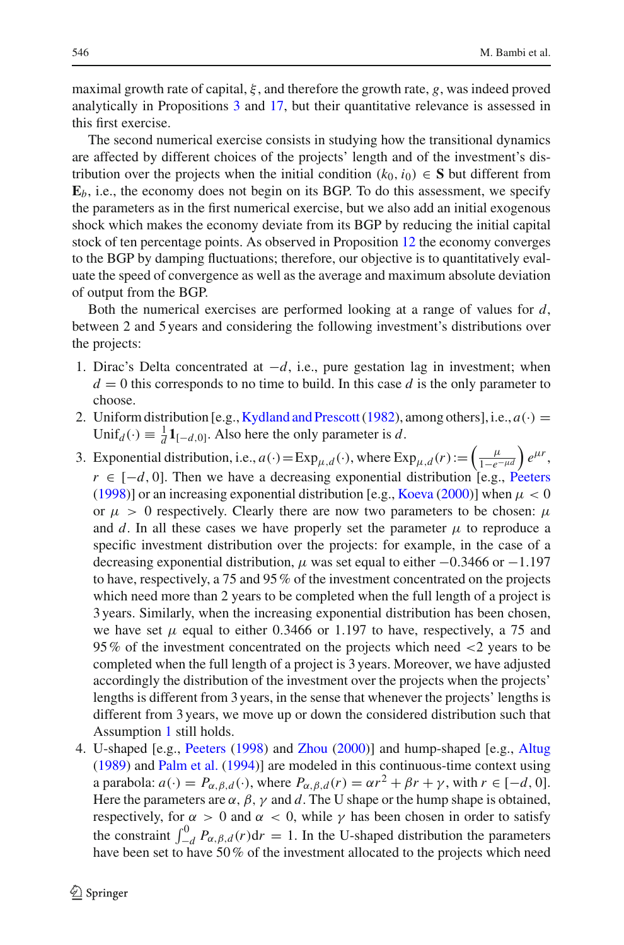maximal growth rate of capital,  $\xi$ , and therefore the growth rate,  $g$ , was indeed proved analytically in Propositions [3](#page-12-1) and [17,](#page-18-1) but their quantitative relevance is assessed in this first exercise.

The second numerical exercise consists in studying how the transitional dynamics are affected by different choices of the projects' length and of the investment's distribution over the projects when the initial condition  $(k_0, i_0) \in S$  but different from **E***b*, i.e., the economy does not begin on its BGP. To do this assessment, we specify the parameters as in the first numerical exercise, but we also add an initial exogenous shock which makes the economy deviate from its BGP by reducing the initial capital stock of ten percentage points. As observed in Proposition [12](#page-23-0) the economy converges to the BGP by damping fluctuations; therefore, our objective is to quantitatively evaluate the speed of convergence as well as the average and maximum absolute deviation of output from the BGP.

Both the numerical exercises are performed looking at a range of values for *d*, between 2 and 5 years and considering the following investment's distributions over the projects:

- 1. Dirac's Delta concentrated at −*d*, i.e., pure gestation lag in investment; when  $d = 0$  this corresponds to no time to build. In this case  $d$  is the only parameter to choose.
- 2. Uniform distribution [e.g., Kydland and Prescott (1982), among others], i.e.,  $a(\cdot)$  = Unif<sub>*d*</sub>( $\cdot$ )  $\equiv \frac{1}{d}$ **1**<sub>[−*d*,0]</sub>. Also here the only parameter is *d*.
- 3. Exponential distribution, i.e.,  $a(\cdot) = \text{Exp}_{\mu,d}(\cdot)$ , where  $\text{Exp}_{\mu,d}(r) := \left(\frac{\mu}{1-e^{-\mu d}}\right)$  $\int e^{\mu r}$ ,  $r \in [-d, 0]$ . Then we have a decreasing exponential distribution [e.g., [Peeters](#page-38-4) [\(1998\)](#page-38-4)] or an increasing exponential distribution [e.g., [Koeva](#page-38-1) [\(2000\)](#page-38-1)] when  $\mu < 0$ or  $\mu > 0$  respectively. Clearly there are now two parameters to be chosen:  $\mu$ and *d*. In all these cases we have properly set the parameter  $\mu$  to reproduce a specific investment distribution over the projects: for example, in the case of a decreasing exponential distribution,  $\mu$  was set equal to either  $-0.3466$  or  $-1.197$ to have, respectively, a 75 and 95% of the investment concentrated on the projects which need more than 2 years to be completed when the full length of a project is 3 years. Similarly, when the increasing exponential distribution has been chosen, we have set  $\mu$  equal to either 0.3466 or 1.197 to have, respectively, a 75 and 95% of the investment concentrated on the projects which need <2 years to be completed when the full length of a project is 3 years. Moreover, we have adjusted accordingly the distribution of the investment over the projects when the projects' lengths is different from 3 years, in the sense that whenever the projects' lengths is different from 3 years, we move up or down the considered distribution such that Assumption [1](#page-10-3) still holds.
- 4. U-shaped [e.g., [Peeters](#page-38-4) [\(1998\)](#page-38-4) and [Zhou](#page-38-3) [\(2000](#page-38-3))] and hump-shaped [e.g., [Altug](#page-37-4) [\(1989\)](#page-37-4) and [Palm et al.](#page-38-16) [\(1994\)](#page-38-16)] are modeled in this continuous-time context using a parabola:  $a(\cdot) = P_{\alpha,\beta,d}(\cdot)$ , where  $P_{\alpha,\beta,d}(r) = \alpha r^2 + \beta r + \gamma$ , with  $r \in [-d, 0]$ . Here the parameters are  $\alpha$ ,  $\beta$ ,  $\gamma$  and  $d$ . The U shape or the hump shape is obtained, respectively, for  $\alpha > 0$  and  $\alpha < 0$ , while  $\gamma$  has been chosen in order to satisfy the constraint  $\int_{-d}^{0} P_{\alpha,\beta,d}(r) dr = 1$ . In the U-shaped distribution the parameters have been set to have 50% of the investment allocated to the projects which need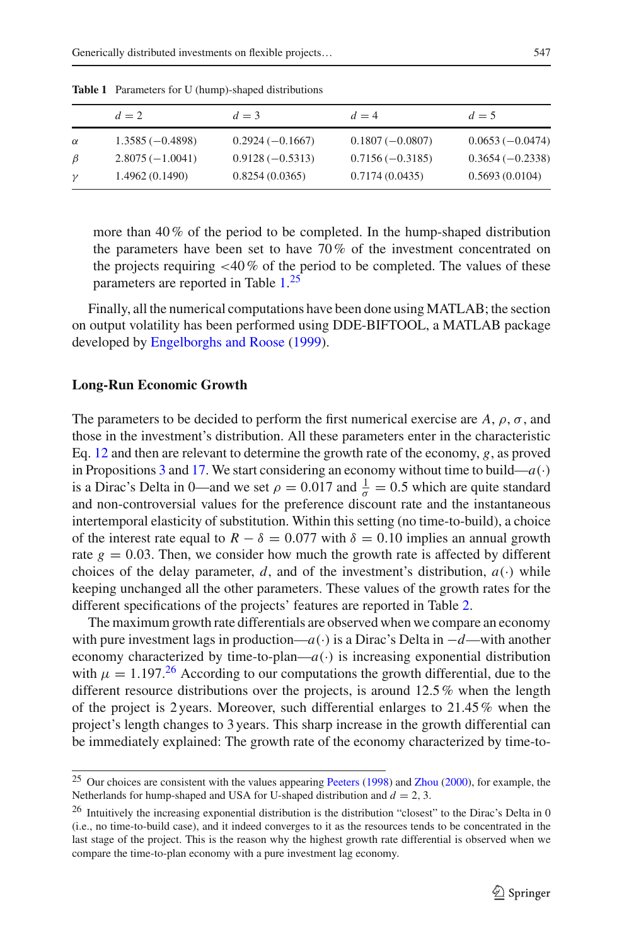<span id="page-27-0"></span>

|              | $d=2$             | $d=3$             | $d=4$             | $d=5$             |
|--------------|-------------------|-------------------|-------------------|-------------------|
| $\alpha$     | $1.3585(-0.4898)$ | $0.2924(-0.1667)$ | $0.1807(-0.0807)$ | $0.0653(-0.0474)$ |
| $\beta$      | $2.8075(-1.0041)$ | $0.9128(-0.5313)$ | $0.7156(-0.3185)$ | $0.3654(-0.2338)$ |
| $\mathcal V$ | 1.4962 (0.1490)   | 0.8254(0.0365)    | 0.7174(0.0435)    | 0.5693(0.0104)    |

**Table 1** Parameters for U (hump)-shaped distributions

more than 40% of the period to be completed. In the hump-shaped distribution the parameters have been set to have  $70\%$  of the investment concentrated on the projects requiring  $<40\%$  of the period to be completed. The values of these parameters are reported in Table [1.](#page-27-0)<sup>[25](#page-27-1)</sup>

Finally, all the numerical computations have been done using MATLAB; the section on output volatility has been performed using DDE-BIFTOOL, a MATLAB package developed by [Engelborghs and Roose](#page-37-26) [\(1999](#page-37-26)).

#### **Long-Run Economic Growth**

The parameters to be decided to perform the first numerical exercise are  $A$ ,  $\rho$ ,  $\sigma$ , and those in the investment's distribution. All these parameters enter in the characteristic Eq. [12](#page-12-0) and then are relevant to determine the growth rate of the economy, *g*, as proved in Propositions [3](#page-12-1) and [17.](#page-18-1) We start considering an economy without time to build— $a(\cdot)$ is a Dirac's Delta in 0—and we set  $\rho = 0.017$  and  $\frac{1}{\sigma} = 0.5$  which are quite standard and non-controversial values for the preference discount rate and the instantaneous intertemporal elasticity of substitution. Within this setting (no time-to-build), a choice of the interest rate equal to  $R - \delta = 0.077$  with  $\delta = 0.10$  implies an annual growth rate  $g = 0.03$ . Then, we consider how much the growth rate is affected by different choices of the delay parameter, *d*, and of the investment's distribution,  $a(\cdot)$  while keeping unchanged all the other parameters. These values of the growth rates for the different specifications of the projects' features are reported in Table [2.](#page-28-0)

The maximum growth rate differentials are observed when we compare an economy with pure investment lags in production—*a*(·) is a Dirac's Delta in −*d*—with another economy characterized by time-to-plan— $a(\cdot)$  is increasing exponential distribution with  $\mu = 1.197^{26}$  $\mu = 1.197^{26}$  $\mu = 1.197^{26}$  According to our computations the growth differential, due to the different resource distributions over the projects, is around 12.5% when the length of the project is 2 years. Moreover, such differential enlarges to  $21.45\%$  when the project's length changes to 3 years. This sharp increase in the growth differential can be immediately explained: The growth rate of the economy characterized by time-to-

<span id="page-27-1"></span><sup>&</sup>lt;sup>25</sup> Our choices are consistent with the values appearing [Peeters](#page-38-4) [\(1998](#page-38-4)) and [Zhou](#page-38-3) [\(2000\)](#page-38-3), for example, the Netherlands for hump-shaped and USA for U-shaped distribution and  $d = 2, 3$ .

<span id="page-27-2"></span><sup>&</sup>lt;sup>26</sup> Intuitively the increasing exponential distribution is the distribution "closest" to the Dirac's Delta in 0 (i.e., no time-to-build case), and it indeed converges to it as the resources tends to be concentrated in the last stage of the project. This is the reason why the highest growth rate differential is observed when we compare the time-to-plan economy with a pure investment lag economy.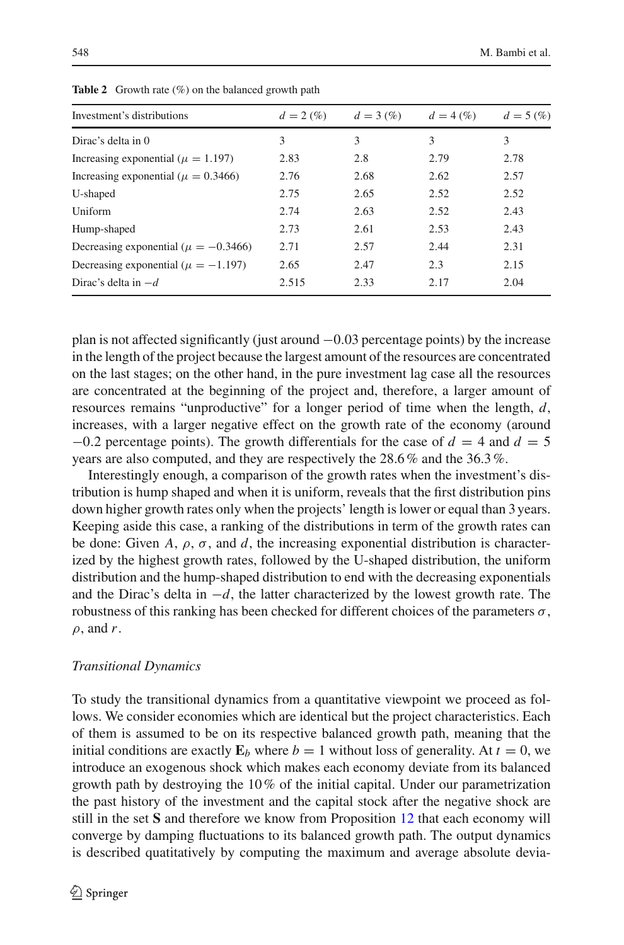<span id="page-28-0"></span>

| Investment's distributions                 | $d = 2 \, (\%)$ | $d = 3 (%)$ | $d = 4 (%)$ | $d = 5 \, (\%)$ |
|--------------------------------------------|-----------------|-------------|-------------|-----------------|
|                                            |                 |             |             |                 |
| Dirac's delta in 0                         | 3               | 3           | 3           | 3               |
| Increasing exponential ( $\mu = 1.197$ )   | 2.83            | 2.8         | 2.79        | 2.78            |
| Increasing exponential ( $\mu = 0.3466$ )  | 2.76            | 2.68        | 2.62        | 2.57            |
| U-shaped                                   | 2.75            | 2.65        | 2.52        | 2.52            |
| Uniform                                    | 2.74            | 2.63        | 2.52        | 2.43            |
| Hump-shaped                                | 2.73            | 2.61        | 2.53        | 2.43            |
| Decreasing exponential ( $\mu = -0.3466$ ) | 2.71            | 2.57        | 2.44        | 2.31            |
| Decreasing exponential ( $\mu = -1.197$ )  | 2.65            | 2.47        | 2.3         | 2.15            |
| Dirac's delta in $-d$                      | 2.515           | 2.33        | 2.17        | 2.04            |

**Table 2** Growth rate (%) on the balanced growth path

plan is not affected significantly (just around −0.03 percentage points) by the increase in the length of the project because the largest amount of the resources are concentrated on the last stages; on the other hand, in the pure investment lag case all the resources are concentrated at the beginning of the project and, therefore, a larger amount of resources remains "unproductive" for a longer period of time when the length, *d*, increases, with a larger negative effect on the growth rate of the economy (around  $-0.2$  percentage points). The growth differentials for the case of  $d = 4$  and  $d = 5$ years are also computed, and they are respectively the 28.6% and the 36.3%.

Interestingly enough, a comparison of the growth rates when the investment's distribution is hump shaped and when it is uniform, reveals that the first distribution pins down higher growth rates only when the projects' length is lower or equal than 3 years. Keeping aside this case, a ranking of the distributions in term of the growth rates can be done: Given  $A$ ,  $\rho$ ,  $\sigma$ , and  $d$ , the increasing exponential distribution is characterized by the highest growth rates, followed by the U-shaped distribution, the uniform distribution and the hump-shaped distribution to end with the decreasing exponentials and the Dirac's delta in −*d*, the latter characterized by the lowest growth rate. The robustness of this ranking has been checked for different choices of the parameters  $\sigma$ , ρ, and *r*.

### *Transitional Dynamics*

To study the transitional dynamics from a quantitative viewpoint we proceed as follows. We consider economies which are identical but the project characteristics. Each of them is assumed to be on its respective balanced growth path, meaning that the initial conditions are exactly  $\mathbf{E}_b$  where  $b = 1$  without loss of generality. At  $t = 0$ , we introduce an exogenous shock which makes each economy deviate from its balanced growth path by destroying the 10% of the initial capital. Under our parametrization the past history of the investment and the capital stock after the negative shock are still in the set **S** and therefore we know from Proposition [12](#page-23-0) that each economy will converge by damping fluctuations to its balanced growth path. The output dynamics is described quatitatively by computing the maximum and average absolute devia-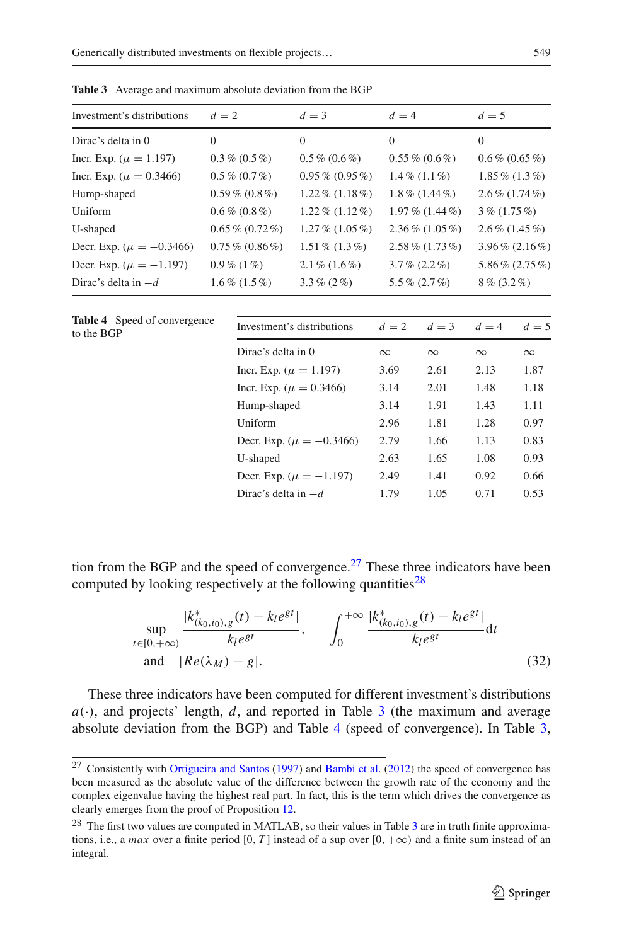<span id="page-29-2"></span>

| Investment's distributions     | $d=2$              | $d=3$             | $d=4$             | $d=5$             |
|--------------------------------|--------------------|-------------------|-------------------|-------------------|
| Dirac's delta in 0             | $\Omega$           | $\Omega$          | $\Omega$          | $\Omega$          |
| Incr. Exp. ( $\mu = 1.197$ )   | $0.3\%$ (0.5%)     | $0.5\%$ (0.6%)    | $0.55\%$ (0.6%)   | $0.6\%$ (0.65%)   |
| Incr. Exp. ( $\mu = 0.3466$ )  | $0.5\%$ (0.7%)     | $0.95\%$ (0.95%)  | $1.4\%$ (1.1%)    | $1.85\%$ (1.3%)   |
| Hump-shaped                    | $0.59\%$ $(0.8\%)$ | $1.22\%$ (1.18%)  | $1.8\%$ (1.44 %)  | $2.6\%$ (1.74%)   |
| Uniform                        | $0.6\%$ $(0.8\%)$  | $1.22\%$ (1.12%)  | $1.97\%$ (1.44 %) | $3\% (1.75\%)$    |
| U-shaped                       | $0.65\%$ (0.72%)   | $1.27\%$ (1.05 %) | $2.36\%$ (1.05%)  | $2.6\%$ (1.45 %)  |
| Decr. Exp. ( $\mu = -0.3466$ ) | $0.75\%$ (0.86%)   | $1.51\%$ (1.3%)   | $2.58\%$ (1.73%)  | $3.96\%$ (2.16%)  |
| Decr. Exp. ( $\mu = -1.197$ )  | $0.9\%$ (1%)       | $2.1\%$ (1.6%)    | $3.7\%$ (2.2%)    | $5.86\%$ (2.75 %) |
| Dirac's delta in $-d$          | $1.6\%$ (1.5%)     | $3.3\%$ (2\%)     | $5.5\%$ (2.7%)    | $8\%$ (3.2%)      |

**Table 3** Average and maximum absolute deviation from the BGP

<span id="page-29-3"></span>**Table 4** Speed of convergence

| <b>Table 4</b> Speed of convergence<br>to the BGP | Investment's distributions     | $d=2$    | $d=3$    | $d=4$    | $d=5$    |
|---------------------------------------------------|--------------------------------|----------|----------|----------|----------|
|                                                   | Dirac's delta in 0             | $\infty$ | $\infty$ | $\infty$ | $\infty$ |
|                                                   | Incr. Exp. ( $\mu = 1.197$ )   | 3.69     | 2.61     | 2.13     | 1.87     |
|                                                   | Incr. Exp. ( $\mu = 0.3466$ )  | 3.14     | 2.01     | 1.48     | 1.18     |
|                                                   | Hump-shaped                    | 3.14     | 1.91     | 1.43     | 1.11     |
|                                                   | Uniform                        | 2.96     | 1.81     | 1.28     | 0.97     |
|                                                   | Decr. Exp. ( $\mu = -0.3466$ ) | 2.79     | 1.66     | 1.13     | 0.83     |
|                                                   | U-shaped                       | 2.63     | 1.65     | 1.08     | 0.93     |
|                                                   | Decr. Exp. ( $\mu = -1.197$ )  | 2.49     | 1.41     | 0.92     | 0.66     |
|                                                   | Dirac's delta in $-d$          | 1.79     | 1.05     | 0.71     | 0.53     |
|                                                   |                                |          |          |          |          |

tion from the BGP and the speed of convergence. $27$  These three indicators have been computed by looking respectively at the following quantities<sup>[28](#page-29-1)</sup>

$$
\sup_{t \in [0, +\infty)} \frac{|k^*_{(k_0, i_0), g}(t) - k_l e^{gt}|}{k_l e^{gt}}, \quad \int_0^{+\infty} \frac{|k^*_{(k_0, i_0), g}(t) - k_l e^{gt}|}{k_l e^{gt}} dt
$$
  
and  $|Re(\lambda_M) - g|$ . (32)

These three indicators have been computed for different investment's distributions  $a(\cdot)$ , and projects' length, *d*, and reported in Table [3](#page-29-2) (the maximum and average absolute deviation from the BGP) and Table [4](#page-29-3) (speed of convergence). In Table [3,](#page-29-2)

<span id="page-29-0"></span><sup>27</sup> Consistently with [Ortigueira and Santos](#page-38-17) [\(1997\)](#page-38-17) and [Bambi et al.](#page-37-2) [\(2012](#page-37-2)) the speed of convergence has been measured as the absolute value of the difference between the growth rate of the economy and the complex eigenvalue having the highest real part. In fact, this is the term which drives the convergence as clearly emerges from the proof of Proposition [12.](#page-23-0)

<span id="page-29-1"></span><sup>&</sup>lt;sup>28</sup> The first two values are computed in MATLAB, so their values in Table [3](#page-29-2) are in truth finite approximations, i.e., a *max* over a finite period [0, *T*] instead of a sup over  $[0, +\infty)$  and a finite sum instead of an integral.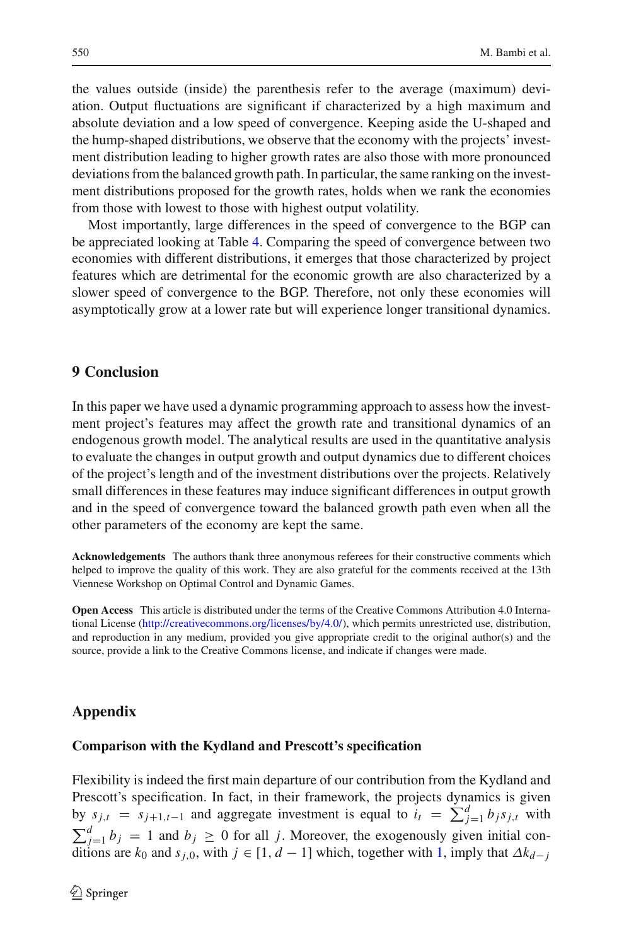the values outside (inside) the parenthesis refer to the average (maximum) deviation. Output fluctuations are significant if characterized by a high maximum and absolute deviation and a low speed of convergence. Keeping aside the U-shaped and the hump-shaped distributions, we observe that the economy with the projects' investment distribution leading to higher growth rates are also those with more pronounced deviations from the balanced growth path. In particular, the same ranking on the investment distributions proposed for the growth rates, holds when we rank the economies from those with lowest to those with highest output volatility.

Most importantly, large differences in the speed of convergence to the BGP can be appreciated looking at Table [4.](#page-29-3) Comparing the speed of convergence between two economies with different distributions, it emerges that those characterized by project features which are detrimental for the economic growth are also characterized by a slower speed of convergence to the BGP. Therefore, not only these economies will asymptotically grow at a lower rate but will experience longer transitional dynamics.

#### **9 Conclusion**

In this paper we have used a dynamic programming approach to assess how the investment project's features may affect the growth rate and transitional dynamics of an endogenous growth model. The analytical results are used in the quantitative analysis to evaluate the changes in output growth and output dynamics due to different choices of the project's length and of the investment distributions over the projects. Relatively small differences in these features may induce significant differences in output growth and in the speed of convergence toward the balanced growth path even when all the other parameters of the economy are kept the same.

**Acknowledgements** The authors thank three anonymous referees for their constructive comments which helped to improve the quality of this work. They are also grateful for the comments received at the 13th Viennese Workshop on Optimal Control and Dynamic Games.

**Open Access** This article is distributed under the terms of the Creative Commons Attribution 4.0 International License [\(http://creativecommons.org/licenses/by/4.0/\)](http://creativecommons.org/licenses/by/4.0/), which permits unrestricted use, distribution, and reproduction in any medium, provided you give appropriate credit to the original author(s) and the source, provide a link to the Creative Commons license, and indicate if changes were made.

#### **Appendix**

#### **Comparison with the Kydland and Prescott's specification**

Flexibility is indeed the first main departure of our contribution from the Kydland and Prescott's specification. In fact, in their framework, the projects dynamics is given by  $s_{j,t} = s_{j+1,t-1}$  and aggregate investment is equal to  $i_t = \sum_{j=1}^d b_j s_{j,t}$  with  $\sum_{j=1}^{d} b_j = 1$  and  $b_j \ge 0$  for all *j*. Moreover, the exogenously given initial conditions are  $k_0$  and  $s_{i,0}$ , with  $j \in [1, d-1]$  $j \in [1, d-1]$  $j \in [1, d-1]$  which, together with 1, imply that  $\Delta k_{d-j}$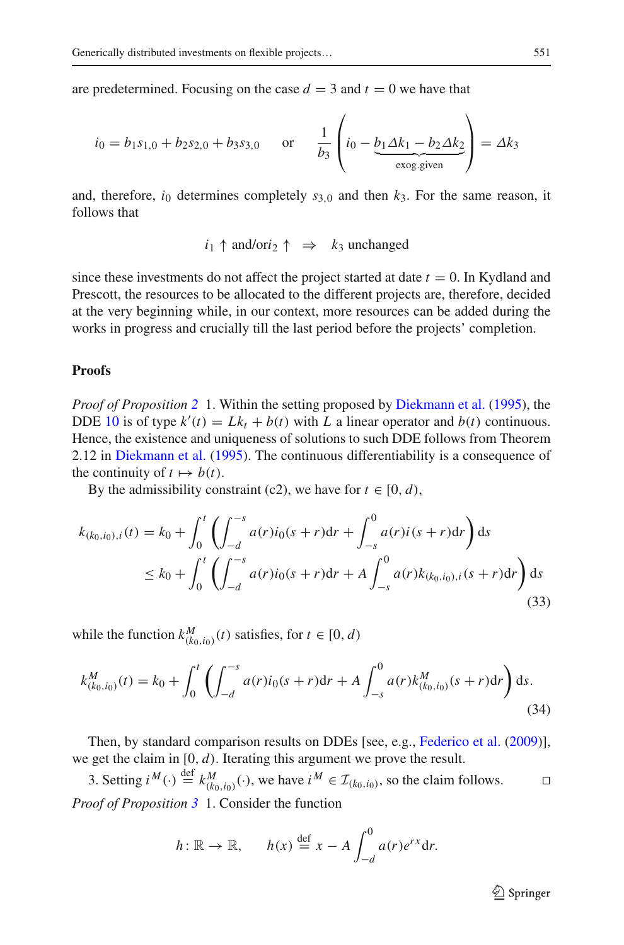are predetermined. Focusing on the case  $d = 3$  and  $t = 0$  we have that

$$
i_0 = b_1 s_{1,0} + b_2 s_{2,0} + b_3 s_{3,0}
$$
 or  $\frac{1}{b_3} \left( i_0 - \underbrace{b_1 \Delta k_1 - b_2 \Delta k_2}_{\text{exog.given}} \right) = \Delta k_3$ 

and, therefore,  $i_0$  determines completely  $s_{3,0}$  and then  $k_3$ . For the same reason, it follows that

 $i_1 \uparrow$  and/or $i_2 \uparrow \Rightarrow k_3$  unchanged

since these investments do not affect the project started at date  $t = 0$ . In Kydland and Prescott, the resources to be allocated to the different projects are, therefore, decided at the very beginning while, in our context, more resources can be added during the works in progress and crucially till the last period before the projects' completion.

#### **Proofs**

*Proof of Proposition [2](#page-11-5)* 1. Within the setting proposed by [Diekmann et al.](#page-37-22) [\(1995\)](#page-37-22), the DDE [10](#page-11-1) is of type  $k'(t) = Lk_t + b(t)$  with *L* a linear operator and *b*(*t*) continuous. Hence, the existence and uniqueness of solutions to such DDE follows from Theorem 2.12 in [Diekmann et al.](#page-37-22) [\(1995](#page-37-22)). The continuous differentiability is a consequence of the continuity of  $t \mapsto b(t)$ .

By the admissibility constraint (c2), we have for  $t \in [0, d)$ ,

$$
k_{(k_0,i_0),i}(t) = k_0 + \int_0^t \left( \int_{-d}^{-s} a(r)i_0(s+r)dr + \int_{-s}^0 a(r)i(s+r)dr \right) ds
$$
  
 
$$
\leq k_0 + \int_0^t \left( \int_{-d}^{-s} a(r)i_0(s+r)dr + A \int_{-s}^0 a(r)k_{(k_0,i_0),i}(s+r)dr \right) ds
$$
(33)

while the function  $k_{(k_0,i_0)}^M(t)$  satisfies, for  $t \in [0, d)$ 

$$
k_{(k_0,i_0)}^M(t) = k_0 + \int_0^t \left( \int_{-d}^{-s} a(r)i_0(s+r)dr + A \int_{-s}^0 a(r)k_{(k_0,i_0)}^M(s+r)dr \right) ds.
$$
\n(34)

Then, by standard comparison results on DDEs [see, e.g., [Federico et al.](#page-37-27) [\(2009\)](#page-37-27)], we get the claim in [0, *d*). Iterating this argument we prove the result.

3. Setting  $i^M(\cdot) \stackrel{\text{def}}{=} k^M_{(k_0,i_0)}(\cdot)$ , we have  $i^M \in \mathcal{I}_{(k_0,i_0)}$ , so the claim follows. *Proof of Proposition [3](#page-12-1)* 1. Consider the function

$$
h: \mathbb{R} \to \mathbb{R}, \qquad h(x) \stackrel{\text{def}}{=} x - A \int_{-d}^{0} a(r) e^{rx} dr.
$$

<sup>2</sup> Springer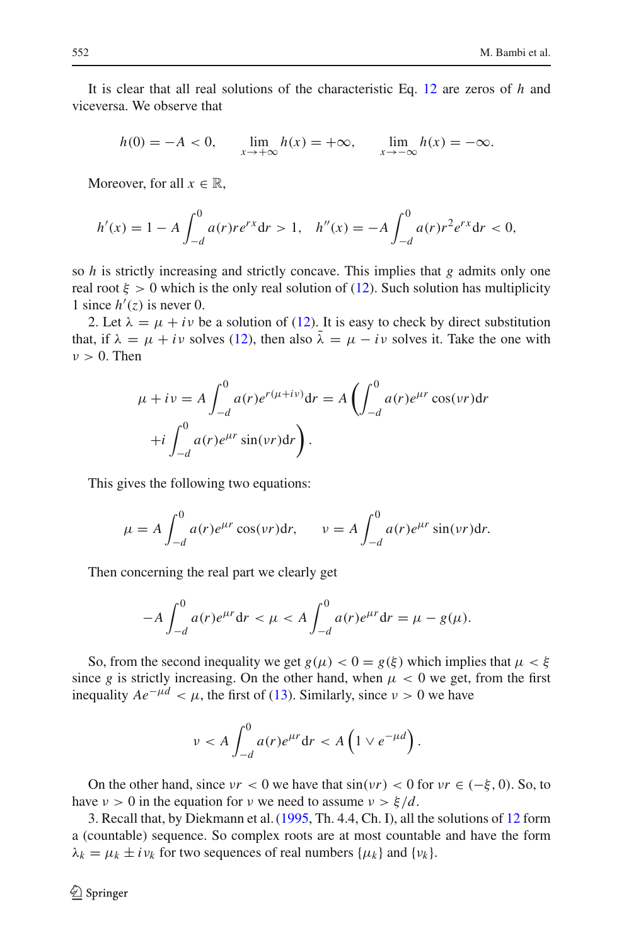It is clear that all real solutions of the characteristic Eq. [12](#page-12-0) are zeros of *h* and viceversa. We observe that

$$
h(0) = -A < 0, \qquad \lim_{x \to +\infty} h(x) = +\infty, \qquad \lim_{x \to -\infty} h(x) = -\infty.
$$

Moreover, for all  $x \in \mathbb{R}$ ,

$$
h'(x) = 1 - A \int_{-d}^{0} a(r)re^{rx}dr > 1, \quad h''(x) = -A \int_{-d}^{0} a(r)r^{2}e^{rx}dr < 0,
$$

so *h* is strictly increasing and strictly concave. This implies that *g* admits only one real root  $\xi > 0$  which is the only real solution of [\(12\)](#page-12-0). Such solution has multiplicity 1 since  $h'(z)$  is never 0.

2. Let  $\lambda = \mu + i\nu$  be a solution of [\(12\)](#page-12-0). It is easy to check by direct substitution that, if  $\lambda = \mu + i\nu$  solves [\(12\)](#page-12-0), then also  $\overline{\lambda} = \mu - i\nu$  solves it. Take the one with  $\nu > 0$ . Then

$$
\mu + i\nu = A \int_{-d}^{0} a(r)e^{r(\mu + iv)} dr = A \left( \int_{-d}^{0} a(r)e^{\mu r} \cos(vr) dr + i \int_{-d}^{0} a(r)e^{\mu r} \sin(vr) dr \right).
$$

This gives the following two equations:

$$
\mu = A \int_{-d}^{0} a(r) e^{\mu r} \cos(\nu r) dr, \qquad \nu = A \int_{-d}^{0} a(r) e^{\mu r} \sin(\nu r) dr.
$$

Then concerning the real part we clearly get

$$
-A \int_{-d}^{0} a(r)e^{\mu r} dr < \mu < A \int_{-d}^{0} a(r)e^{\mu r} dr = \mu - g(\mu).
$$

So, from the second inequality we get  $g(\mu) < 0 = g(\xi)$  which implies that  $\mu < \xi$ since *g* is strictly increasing. On the other hand, when  $\mu < 0$  we get, from the first inequality  $Ae^{-\mu d} < \mu$ , the first of [\(13\)](#page-12-3). Similarly, since  $\nu > 0$  we have

$$
\nu < A \int_{-d}^{0} a(r) e^{\mu r} dr < A \left( 1 \vee e^{-\mu d} \right).
$$

On the other hand, since  $vr < 0$  we have that  $sin(vr) < 0$  for  $vr \in (-\xi, 0)$ . So, to have  $v > 0$  in the equation for  $v$  we need to assume  $v > \xi/d$ .

3. Recall that, by Diekmann et al. [\(1995,](#page-37-22) Th. 4.4, Ch. I), all the solutions of [12](#page-12-0) form a (countable) sequence. So complex roots are at most countable and have the form  $\lambda_k = \mu_k \pm i v_k$  for two sequences of real numbers  $\{\mu_k\}$  and  $\{v_k\}$ .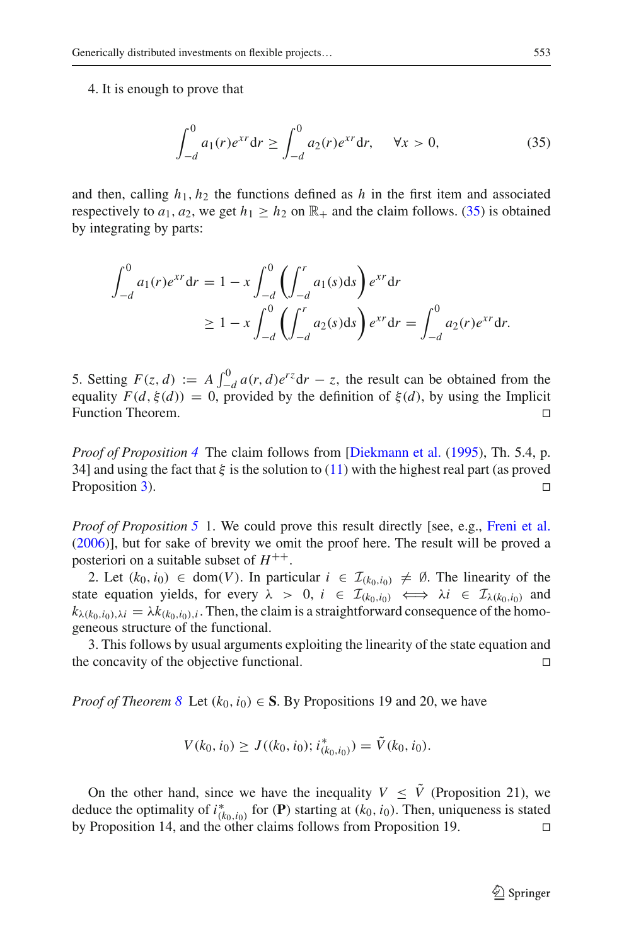#### <span id="page-33-0"></span>4. It is enough to prove that

$$
\int_{-d}^{0} a_1(r)e^{xr}dr \ge \int_{-d}^{0} a_2(r)e^{xr}dr, \quad \forall x > 0,
$$
 (35)

and then, calling  $h_1, h_2$  the functions defined as h in the first item and associated respectively to  $a_1, a_2$ , we get  $h_1 \geq h_2$  on  $\mathbb{R}_+$  and the claim follows. [\(35\)](#page-33-0) is obtained by integrating by parts:

$$
\int_{-d}^{0} a_1(r)e^{xr} dr = 1 - x \int_{-d}^{0} \left( \int_{-d}^{r} a_1(s) ds \right) e^{xr} dr
$$
  
 
$$
\geq 1 - x \int_{-d}^{0} \left( \int_{-d}^{r} a_2(s) ds \right) e^{xr} dr = \int_{-d}^{0} a_2(r) e^{xr} dr.
$$

5. Setting  $F(z, d) := A \int_{-d}^{0} a(r, d)e^{rz} dr - z$ , the result can be obtained from the results:  $F(z, d) = 0$ , generalized by the definition of  $F(z)$ , by using the Insulisity equality  $F(d, \xi(d)) = 0$ , provided by the definition of  $\xi(d)$ , by using the Implicit Function Theorem.

*Proof of Proposition* [4](#page-12-4) The claim follows from [\[Diekmann et al.](#page-37-22) [\(1995](#page-37-22)), Th. 5.4, p. 34] and using the fact that  $\xi$  is the solution to [\(11\)](#page-11-3) with the highest real part (as proved Proposition [3\)](#page-12-1).

*Proof of Proposition* [5](#page-15-3) 1. We could prove this result directly [see, e.g., [Freni et al.](#page-37-28) [\(2006\)](#page-37-28)], but for sake of brevity we omit the proof here. The result will be proved a posteriori on a suitable subset of  $H^{++}$ .

2. Let  $(k_0, i_0) \in \text{dom}(V)$ . In particular  $i \in \mathcal{I}_{(k_0, i_0)} \neq \emptyset$ . The linearity of the state equation yields, for every  $\lambda > 0$ ,  $i \in \mathcal{I}_{(k_0,i_0)} \iff \lambda i \in \mathcal{I}_{\lambda(k_0,i_0)}$  and  $k_{\lambda(k_0,i_0),\lambda i} = \lambda k_{(k_0,i_0),i}$ . Then, the claim is a straightforward consequence of the homogeneous structure of the functional.

3. This follows by usual arguments exploiting the linearity of the state equation and the concavity of the objective functional.

*Proof of Theorem* [8](#page-18-0) Let  $(k_0, i_0) \in S$ . By Propositions 19 and 20, we have

$$
V(k_0, i_0) \ge J((k_0, i_0); i^*_{(k_0, i_0)}) = V(k_0, i_0).
$$

On the other hand, since we have the inequality  $V \leq \tilde{V}$  (Proposition 21), we deduce the optimality of  $i^*_{(k_0,i_0)}$  for (**P**) starting at  $(k_0,i_0)$ . Then, uniqueness is stated by Proposition 14, and the other claims follows from Proposition 19.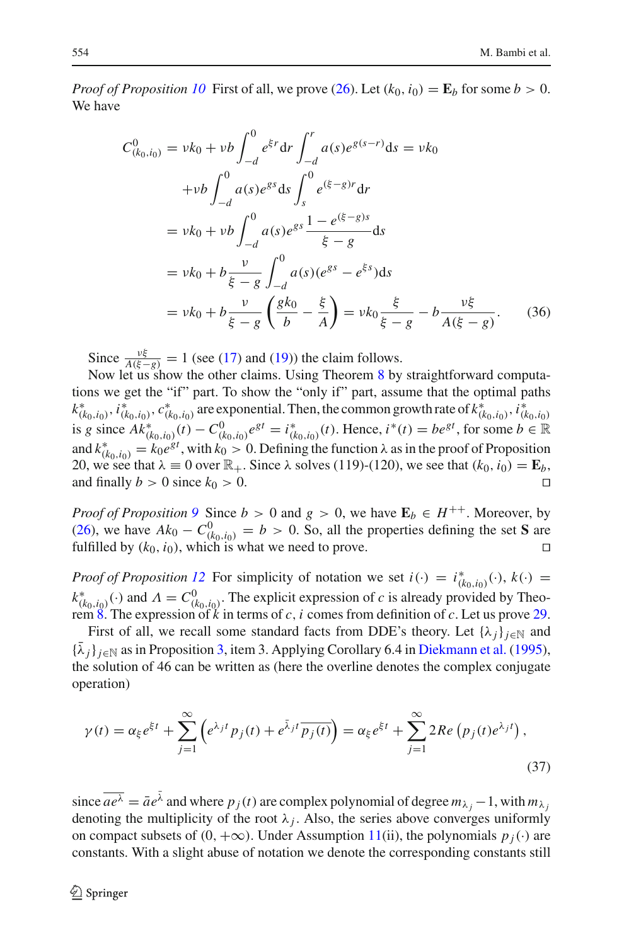*Proof of Proposition [10](#page-21-1)* First of all, we prove [\(26\)](#page-21-0). Let  $(k_0, i_0) = \mathbf{E}_b$  for some  $b > 0$ . We have

$$
C_{(k_0, i_0)}^0 = v k_0 + v b \int_{-d}^0 e^{\xi r} dr \int_{-d}^r a(s) e^{s(s-r)} ds = v k_0
$$
  
+
$$
+ v b \int_{-d}^0 a(s) e^{s s} ds \int_s^0 e^{(\xi - s)r} dr
$$
  
= 
$$
v k_0 + v b \int_{-d}^0 a(s) e^{s s} \frac{1 - e^{(\xi - s)s}}{\xi - s} ds
$$
  
= 
$$
v k_0 + b \frac{v}{\xi - s} \int_{-d}^0 a(s) (e^{s s} - e^{\xi s}) ds
$$
  
= 
$$
v k_0 + b \frac{v}{\xi - s} \left( \frac{g k_0}{b} - \frac{\xi}{A} \right) = v k_0 \frac{\xi}{\xi - s} - b \frac{v \xi}{A(\xi - s)}.
$$
 (36)

Since  $\frac{v\xi}{A(\xi-g)} = 1$  (see [\(17\)](#page-18-1) and [\(19\)](#page-18-2)) the claim follows.<br>Now let us show the other claims. Using Theorem [8](#page-18-0) by straightforward computations we get the "if" part. To show the "only if" part, assume that the optimal paths  $k^*_{(k_0,i_0)}, i^*_{(k_0,i_0)}, c^*_{(k_0,i_0)}$  are exponential. Then, the common growth rate of  $k^*_{(k_0,i_0)}, i^*_{(k_0,i_0)}$ is g since  $Ak_{(k_0,i_0)}^*(t) - C_{(k_0,i_0)}^0 e^{gt} = i_{(k_0,i_0)}^*(t)$ . Hence,  $i^*(t) = be^{gt}$ , for some  $b \in \mathbb{R}$ and  $k^*_{(k_0,i_0)} = k_0 e^{gt}$ , with  $k_0 > 0$ . Defining the function  $\lambda$  as in the proof of Proposition 20, we see that  $\lambda \equiv 0$  over ℝ<sub>+</sub>. Since  $\lambda$  solves (119)-(120), we see that  $(k_0, i_0) = \mathbf{E}_b$ , and finally *b* > 0 since  $k_0$  > 0. and finally  $b > 0$  since  $k_0 > 0$ .

*Proof of Proposition* [9](#page-20-1) Since *b* > 0 and *g* > 0, we have  $\mathbf{E}_b \in H^{++}$ . Moreover, by [\(26\)](#page-21-0), we have  $Ak_0 - C^0_{(k_0,i_0)} = b > 0$ . So, all the properties defining the set **S** are fulfilled by  $(k_0, i_0)$ , which is what we need to prove.

*Proof of Proposition* [12](#page-23-0) For simplicity of notation we set  $i(\cdot) = i^*_{(k_0,i_0)}(\cdot), k(\cdot) =$  $k^*_{(k_0,i_0)}(\cdot)$  and  $\Lambda = C^0_{(k_0,i_0)}$ . The explicit expression of *c* is already provided by Theorem [8.](#page-18-0) The expression of *k* in terms of *c*,*i* comes from definition of *c*. Let us prove [29.](#page-23-1)

First of all, we recall some standard facts from DDE's theory. Let  $\{\lambda_i\}_{i\in\mathbb{N}}$  and  $\{\lambda_j\}_{j\in\mathbb{N}}$  as in Proposition [3,](#page-12-1) item 3. Applying Corollary 6.4 in [Diekmann et al.](#page-37-22) [\(1995](#page-37-22)), the solution of 46 can be written as (here the overline denotes the complex conjugate operation)

$$
\gamma(t) = \alpha_{\xi} e^{\xi t} + \sum_{j=1}^{\infty} \left( e^{\lambda_j t} p_j(t) + e^{\bar{\lambda}_j t} \overline{p_j(t)} \right) = \alpha_{\xi} e^{\xi t} + \sum_{j=1}^{\infty} 2Re \left( p_j(t) e^{\lambda_j t} \right),\tag{37}
$$

since  $\overline{ae^{\lambda}} = \overline{a}e^{\overline{\lambda}}$  and where  $p_j(t)$  are complex polynomial of degree  $m_{\lambda_j} - 1$ , with  $m_{\lambda_j}$ denoting the multiplicity of the root  $\lambda_j$ . Also, the series above converges uniformly on compact subsets of  $(0, +\infty)$ . Under Assumption [11\(](#page-22-2)ii), the polynomials  $p_i(\cdot)$  are constants. With a slight abuse of notation we denote the corresponding constants still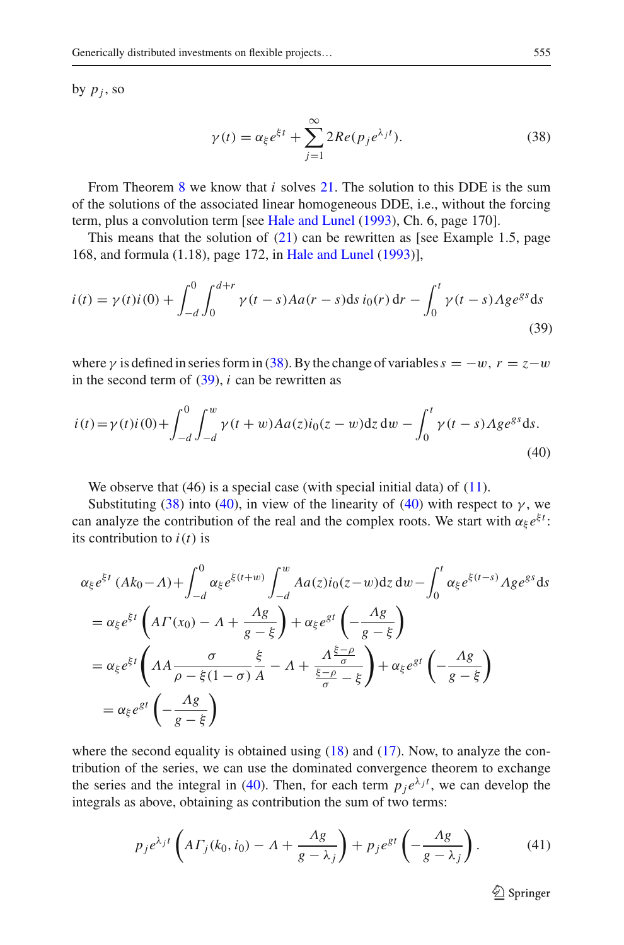<span id="page-35-0"></span>by  $p_i$ , so

$$
\gamma(t) = \alpha_{\xi} e^{\xi t} + \sum_{j=1}^{\infty} 2Re(p_j e^{\lambda_j t}).
$$
\n(38)

From Theorem [8](#page-18-0) we know that *i* solves [21.](#page-19-1) The solution to this DDE is the sum of the solutions of the associated linear homogeneous DDE, i.e., without the forcing term, plus a convolution term [see [Hale and Lunel](#page-37-29) [\(1993\)](#page-37-29), Ch. 6, page 170].

This means that the solution of  $(21)$  can be rewritten as [see Example 1.5, page 168, and formula (1.18), page 172, in [Hale and Lunel](#page-37-29) [\(1993](#page-37-29))],

<span id="page-35-1"></span>
$$
i(t) = \gamma(t)i(0) + \int_{-d}^{0} \int_{0}^{d+r} \gamma(t-s)Aa(r-s)ds \, i_{0}(r) dr - \int_{0}^{t} \gamma(t-s)Age^{gs}ds
$$
\n(39)

where  $\gamma$  is defined in series form in [\(38\)](#page-35-0). By the change of variables  $s = -w$ ,  $r = z-w$ in the second term of [\(39\)](#page-35-1), *i* can be rewritten as

<span id="page-35-2"></span>
$$
i(t) = \gamma(t)i(0) + \int_{-d}^{0} \int_{-d}^{w} \gamma(t+w) A a(z) i_0(z-w) \, dz \, dw - \int_{0}^{t} \gamma(t-s) A g e^{gs} \, ds. \tag{40}
$$

We observe that (46) is a special case (with special initial data) of [\(11\)](#page-11-3).

Substituting [\(38\)](#page-35-0) into [\(40\)](#page-35-2), in view of the linearity of (40) with respect to  $\gamma$ , we can analyze the contribution of the real and the complex roots. We start with  $\alpha_{\xi}e^{\xi t}$ : its contribution to  $i(t)$  is

$$
\alpha_{\xi}e^{\xi t} (Ak_0 - A) + \int_{-d}^{0} \alpha_{\xi}e^{\xi(t+w)} \int_{-d}^{w} Aa(z)i_0(z-w)dz dw - \int_{0}^{t} \alpha_{\xi}e^{\xi(t-s)} Age^{gs} ds
$$
  
\n
$$
= \alpha_{\xi}e^{\xi t} \left( A\Gamma(x_0) - A + \frac{Ag}{g-\xi} \right) + \alpha_{\xi}e^{gt} \left( -\frac{Ag}{g-\xi} \right)
$$
  
\n
$$
= \alpha_{\xi}e^{\xi t} \left( A A \frac{\sigma}{\rho - \xi(1-\sigma)} \frac{\xi}{A} - A + \frac{A\frac{\xi-\rho}{\sigma}}{\frac{\xi-\rho}{\sigma} - \xi} \right) + \alpha_{\xi}e^{gt} \left( -\frac{Ag}{g-\xi} \right)
$$
  
\n
$$
= \alpha_{\xi}e^{gt} \left( -\frac{Ag}{g-\xi} \right)
$$

where the second equality is obtained using  $(18)$  and  $(17)$ . Now, to analyze the contribution of the series, we can use the dominated convergence theorem to exchange the series and the integral in [\(40\)](#page-35-2). Then, for each term  $p_j e^{\lambda_j t}$ , we can develop the integrals as above, obtaining as contribution the sum of two terms:

$$
p_j e^{\lambda_j t} \left( A \Gamma_j(k_0, i_0) - A + \frac{Ag}{g - \lambda_j} \right) + p_j e^{gt} \left( -\frac{Ag}{g - \lambda_j} \right). \tag{41}
$$

<sup>2</sup> Springer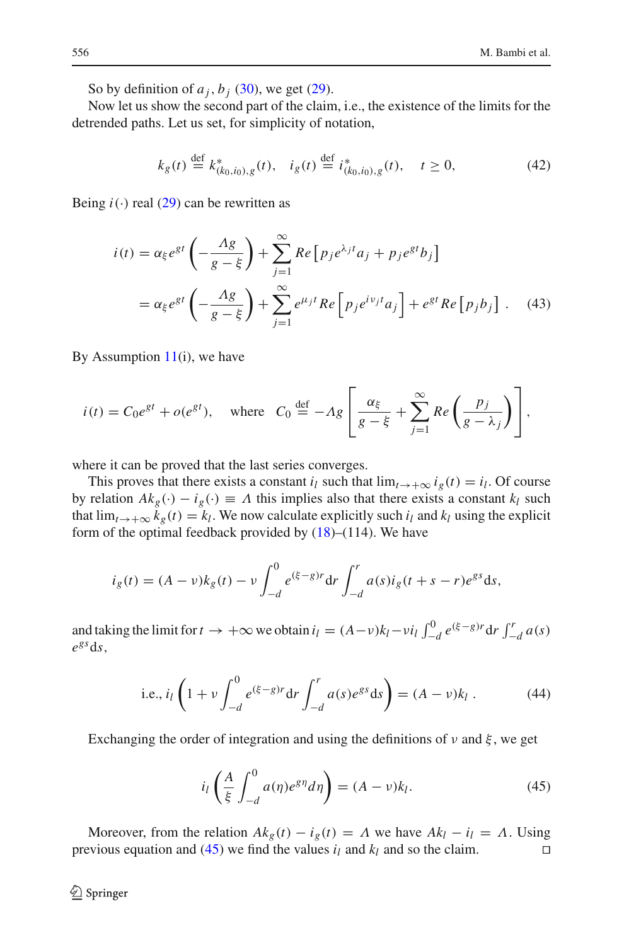So by definition of  $a_j$ ,  $b_j$  [\(30\)](#page-23-2), we get [\(29\)](#page-23-1).

Now let us show the second part of the claim, i.e., the existence of the limits for the detrended paths. Let us set, for simplicity of notation,

$$
k_g(t) \stackrel{\text{def}}{=} k^*_{(k_0, i_0), g}(t), \quad i_g(t) \stackrel{\text{def}}{=} i^*_{(k_0, i_0), g}(t), \quad t \ge 0,
$$
 (42)

Being  $i(·)$  real [\(29\)](#page-23-1) can be rewritten as

$$
i(t) = \alpha_{\xi} e^{gt} \left( -\frac{\Lambda g}{g - \xi} \right) + \sum_{j=1}^{\infty} Re \left[ p_j e^{\lambda_j t} a_j + p_j e^{gt} b_j \right]
$$
  
=  $\alpha_{\xi} e^{gt} \left( -\frac{\Lambda g}{g - \xi} \right) + \sum_{j=1}^{\infty} e^{\mu_j t} Re \left[ p_j e^{i v_j t} a_j \right] + e^{gt} Re \left[ p_j b_j \right].$  (43)

By Assumption  $11(i)$  $11(i)$ , we have

$$
i(t) = C_0 e^{gt} + o(e^{gt}),
$$
 where  $C_0 \stackrel{\text{def}}{=} -Ag \left[ \frac{\alpha_{\xi}}{g - \xi} + \sum_{j=1}^{\infty} Re \left( \frac{p_j}{g - \lambda_j} \right) \right],$ 

where it can be proved that the last series converges.

This proves that there exists a constant  $i_l$  such that  $\lim_{t\to+\infty} i_g(t) = i_l$ . Of course by relation  $Ak_g(\cdot) - i_g(\cdot) \equiv A$  this implies also that there exists a constant  $k_l$  such that  $\lim_{t\to+\infty} k_g(t) = k_l$ . We now calculate explicitly such  $i_l$  and  $k_l$  using the explicit form of the optimal feedback provided by  $(18)$ – $(114)$ . We have

$$
i_g(t) = (A - v)k_g(t) - v \int_{-d}^{0} e^{(\xi - g)r} dr \int_{-d}^{r} a(s)i_g(t + s - r)e^{gs} ds,
$$

and taking the limit for  $t \to +\infty$  we obtain  $i_l = (A - v)k_l - vi_l \int_{-d}^{0} e^{(\xi - g)r} dr \int_{-d}^{r} a(s)$  $e^{gs}$ d*s*,

i.e., 
$$
i_l \left( 1 + v \int_{-d}^{0} e^{(\xi - g)r} dr \int_{-d}^{r} a(s) e^{gs} ds \right) = (A - v)k_l
$$
. (44)

<span id="page-36-0"></span>Exchanging the order of integration and using the definitions of  $\nu$  and  $\xi$ , we get

$$
i_l\left(\frac{A}{\xi}\int_{-d}^0 a(\eta)e^{g\eta}d\eta\right) = (A - \nu)k_l.
$$
 (45)

Moreover, from the relation  $Ak_g(t) - i_g(t) = A$  we have  $Ak_l - i_l = A$ . Using evious equation and (45) we find the values *i<sub>j</sub>* and *k<sub>l</sub>* and so the claim. previous equation and [\(45\)](#page-36-0) we find the values  $i_l$  and  $k_l$  and so the claim.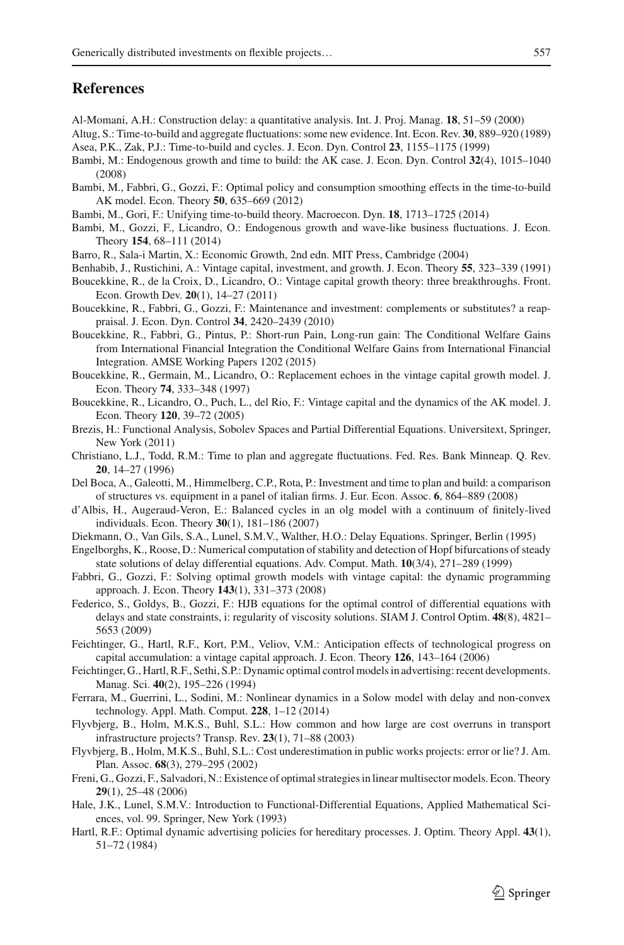### **References**

- <span id="page-37-9"></span>Al-Momani, A.H.: Construction delay: a quantitative analysis. Int. J. Proj. Manag. **18**, 51–59 (2000)
- <span id="page-37-4"></span><span id="page-37-0"></span>Altug, S.: Time-to-build and aggregate fluctuations: some new evidence. Int. Econ. Rev. **30**, 889–920 (1989) Asea, P.K., Zak, P.J.: Time-to-build and cycles. J. Econ. Dyn. Control **23**, 1155–1175 (1999)
- <span id="page-37-1"></span>Bambi, M.: Endogenous growth and time to build: the AK case. J. Econ. Dyn. Control **32**(4), 1015–1040 (2008)
- <span id="page-37-2"></span>Bambi, M., Fabbri, G., Gozzi, F.: Optimal policy and consumption smoothing effects in the time-to-build AK model. Econ. Theory **50**, 635–669 (2012)
- <span id="page-37-24"></span>Bambi, M., Gori, F.: Unifying time-to-build theory. Macroecon. Dyn. **18**, 1713–1725 (2014)
- <span id="page-37-12"></span>Bambi, M., Gozzi, F., Licandro, O.: Endogenous growth and wave-like business fluctuations. J. Econ. Theory **154**, 68–111 (2014)
- <span id="page-37-3"></span>Barro, R., Sala-i Martin, X.: Economic Growth, 2nd edn. MIT Press, Cambridge (2004)
- <span id="page-37-10"></span>Benhabib, J., Rustichini, A.: Vintage capital, investment, and growth. J. Econ. Theory **55**, 323–339 (1991)
- <span id="page-37-17"></span>Boucekkine, R., de la Croix, D., Licandro, O.: Vintage capital growth theory: three breakthroughs. Front. Econ. Growth Dev. **20**(1), 14–27 (2011)
- <span id="page-37-19"></span>Boucekkine, R., Fabbri, G., Gozzi, F.: Maintenance and investment: complements or substitutes? a reappraisal. J. Econ. Dyn. Control **34**, 2420–2439 (2010)
- <span id="page-37-25"></span>Boucekkine, R., Fabbri, G., Pintus, P.: Short-run Pain, Long-run gain: The Conditional Welfare Gains from International Financial Integration the Conditional Welfare Gains from International Financial Integration. AMSE Working Papers 1202 (2015)
- <span id="page-37-15"></span>Boucekkine, R., Germain, M., Licandro, O.: Replacement echoes in the vintage capital growth model. J. Econ. Theory **74**, 333–348 (1997)
- <span id="page-37-23"></span>Boucekkine, R., Licandro, O., Puch, L., del Rio, F.: Vintage capital and the dynamics of the AK model. J. Econ. Theory **120**, 39–72 (2005)
- <span id="page-37-21"></span>Brezis, H.: Functional Analysis, Sobolev Spaces and Partial Differential Equations. Universitext, Springer, New York (2011)
- <span id="page-37-7"></span>Christiano, L.J., Todd, R.M.: Time to plan and aggregate fluctuations. Fed. Res. Bank Minneap. Q. Rev. **20**, 14–27 (1996)
- <span id="page-37-8"></span>Del Boca, A., Galeotti, M., Himmelberg, C.P., Rota, P.: Investment and time to plan and build: a comparison of structures vs. equipment in a panel of italian firms. J. Eur. Econ. Assoc. **6**, 864–889 (2008)
- <span id="page-37-20"></span>d'Albis, H., Augeraud-Veron, E.: Balanced cycles in an olg model with a continuum of finitely-lived individuals. Econ. Theory **30**(1), 181–186 (2007)
- <span id="page-37-22"></span>Diekmann, O., Van Gils, S.A., Lunel, S.M.V., Walther, H.O.: Delay Equations. Springer, Berlin (1995)
- <span id="page-37-26"></span>Engelborghs, K., Roose, D.: Numerical computation of stability and detection of Hopf bifurcations of steady state solutions of delay differential equations. Adv. Comput. Math. **10**(3/4), 271–289 (1999)
- <span id="page-37-18"></span>Fabbri, G., Gozzi, F.: Solving optimal growth models with vintage capital: the dynamic programming approach. J. Econ. Theory **143**(1), 331–373 (2008)
- <span id="page-37-27"></span>Federico, S., Goldys, B., Gozzi, F.: HJB equations for the optimal control of differential equations with delays and state constraints, i: regularity of viscosity solutions. SIAM J. Control Optim. **48**(8), 4821– 5653 (2009)
- <span id="page-37-16"></span>Feichtinger, G., Hartl, R.F., Kort, P.M., Veliov, V.M.: Anticipation effects of technological progress on capital accumulation: a vintage capital approach. J. Econ. Theory **126**, 143–164 (2006)
- <span id="page-37-13"></span>Feichtinger, G., Hartl, R.F., Sethi, S.P.: Dynamic optimal control models in advertising: recent developments. Manag. Sci. **40**(2), 195–226 (1994)
- <span id="page-37-11"></span>Ferrara, M., Guerrini, L., Sodini, M.: Nonlinear dynamics in a Solow model with delay and non-convex technology. Appl. Math. Comput. **228**, 1–12 (2014)
- <span id="page-37-6"></span>Flyvbjerg, B., Holm, M.K.S., Buhl, S.L.: How common and how large are cost overruns in transport infrastructure projects? Transp. Rev. **23**(1), 71–88 (2003)
- <span id="page-37-5"></span>Flyvbjerg, B., Holm, M.K.S., Buhl, S.L.: Cost underestimation in public works projects: error or lie? J. Am. Plan. Assoc. **68**(3), 279–295 (2002)
- <span id="page-37-28"></span>Freni, G., Gozzi, F., Salvadori, N.: Existence of optimal strategies in linear multisector models. Econ. Theory **29**(1), 25–48 (2006)
- <span id="page-37-29"></span>Hale, J.K., Lunel, S.M.V.: Introduction to Functional-Differential Equations, Applied Mathematical Sciences, vol. 99. Springer, New York (1993)
- <span id="page-37-14"></span>Hartl, R.F.: Optimal dynamic advertising policies for hereditary processes. J. Optim. Theory Appl. **43**(1), 51–72 (1984)